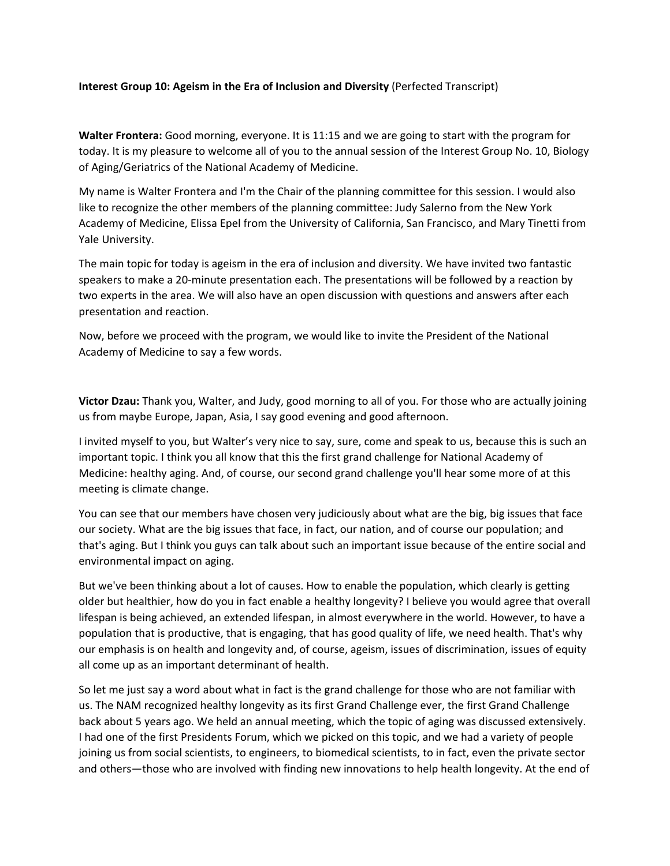## **Interest Group 10: Ageism in the Era of Inclusion and Diversity** (Perfected Transcript)

**Walter Frontera:** Good morning, everyone. It is 11:15 and we are going to start with the program for today. It is my pleasure to welcome all of you to the annual session of the Interest Group No. 10, Biology of Aging/Geriatrics of the National Academy of Medicine.

My name is Walter Frontera and I'm the Chair of the planning committee for this session. I would also like to recognize the other members of the planning committee: Judy Salerno from the New York Academy of Medicine, Elissa Epel from the University of California, San Francisco, and Mary Tinetti from Yale University.

The main topic for today is ageism in the era of inclusion and diversity. We have invited two fantastic speakers to make a 20-minute presentation each. The presentations will be followed by a reaction by two experts in the area. We will also have an open discussion with questions and answers after each presentation and reaction.

Now, before we proceed with the program, we would like to invite the President of the National Academy of Medicine to say a few words.

**Victor Dzau:** Thank you, Walter, and Judy, good morning to all of you. For those who are actually joining us from maybe Europe, Japan, Asia, I say good evening and good afternoon.

I invited myself to you, but Walter's very nice to say, sure, come and speak to us, because this is such an important topic. I think you all know that this the first grand challenge for National Academy of Medicine: healthy aging. And, of course, our second grand challenge you'll hear some more of at this meeting is climate change.

You can see that our members have chosen very judiciously about what are the big, big issues that face our society. What are the big issues that face, in fact, our nation, and of course our population; and that's aging. But I think you guys can talk about such an important issue because of the entire social and environmental impact on aging.

But we've been thinking about a lot of causes. How to enable the population, which clearly is getting older but healthier, how do you in fact enable a healthy longevity? I believe you would agree that overall lifespan is being achieved, an extended lifespan, in almost everywhere in the world. However, to have a population that is productive, that is engaging, that has good quality of life, we need health. That's why our emphasis is on health and longevity and, of course, ageism, issues of discrimination, issues of equity all come up as an important determinant of health.

So let me just say a word about what in fact is the grand challenge for those who are not familiar with us. The NAM recognized healthy longevity as its first Grand Challenge ever, the first Grand Challenge back about 5 years ago. We held an annual meeting, which the topic of aging was discussed extensively. I had one of the first Presidents Forum, which we picked on this topic, and we had a variety of people joining us from social scientists, to engineers, to biomedical scientists, to in fact, even the private sector and others—those who are involved with finding new innovations to help health longevity. At the end of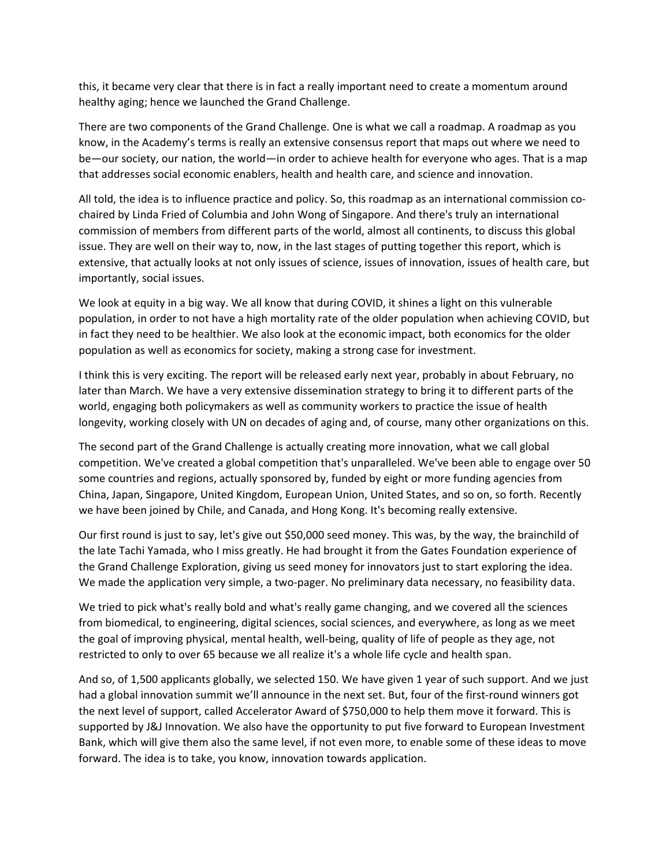this, it became very clear that there is in fact a really important need to create a momentum around healthy aging; hence we launched the Grand Challenge.

There are two components of the Grand Challenge. One is what we call a roadmap. A roadmap as you know, in the Academy's terms is really an extensive consensus report that maps out where we need to be—our society, our nation, the world—in order to achieve health for everyone who ages. That is a map that addresses social economic enablers, health and health care, and science and innovation.

All told, the idea is to influence practice and policy. So, this roadmap as an international commission co‐ chaired by Linda Fried of Columbia and John Wong of Singapore. And there's truly an international commission of members from different parts of the world, almost all continents, to discuss this global issue. They are well on their way to, now, in the last stages of putting together this report, which is extensive, that actually looks at not only issues of science, issues of innovation, issues of health care, but importantly, social issues.

We look at equity in a big way. We all know that during COVID, it shines a light on this vulnerable population, in order to not have a high mortality rate of the older population when achieving COVID, but in fact they need to be healthier. We also look at the economic impact, both economics for the older population as well as economics for society, making a strong case for investment.

I think this is very exciting. The report will be released early next year, probably in about February, no later than March. We have a very extensive dissemination strategy to bring it to different parts of the world, engaging both policymakers as well as community workers to practice the issue of health longevity, working closely with UN on decades of aging and, of course, many other organizations on this.

The second part of the Grand Challenge is actually creating more innovation, what we call global competition. We've created a global competition that's unparalleled. We've been able to engage over 50 some countries and regions, actually sponsored by, funded by eight or more funding agencies from China, Japan, Singapore, United Kingdom, European Union, United States, and so on, so forth. Recently we have been joined by Chile, and Canada, and Hong Kong. It's becoming really extensive.

Our first round is just to say, let's give out \$50,000 seed money. This was, by the way, the brainchild of the late Tachi Yamada, who I miss greatly. He had brought it from the Gates Foundation experience of the Grand Challenge Exploration, giving us seed money for innovators just to start exploring the idea. We made the application very simple, a two-pager. No preliminary data necessary, no feasibility data.

We tried to pick what's really bold and what's really game changing, and we covered all the sciences from biomedical, to engineering, digital sciences, social sciences, and everywhere, as long as we meet the goal of improving physical, mental health, well‐being, quality of life of people as they age, not restricted to only to over 65 because we all realize it's a whole life cycle and health span.

And so, of 1,500 applicants globally, we selected 150. We have given 1 year of such support. And we just had a global innovation summit we'll announce in the next set. But, four of the first-round winners got the next level of support, called Accelerator Award of \$750,000 to help them move it forward. This is supported by J&J Innovation. We also have the opportunity to put five forward to European Investment Bank, which will give them also the same level, if not even more, to enable some of these ideas to move forward. The idea is to take, you know, innovation towards application.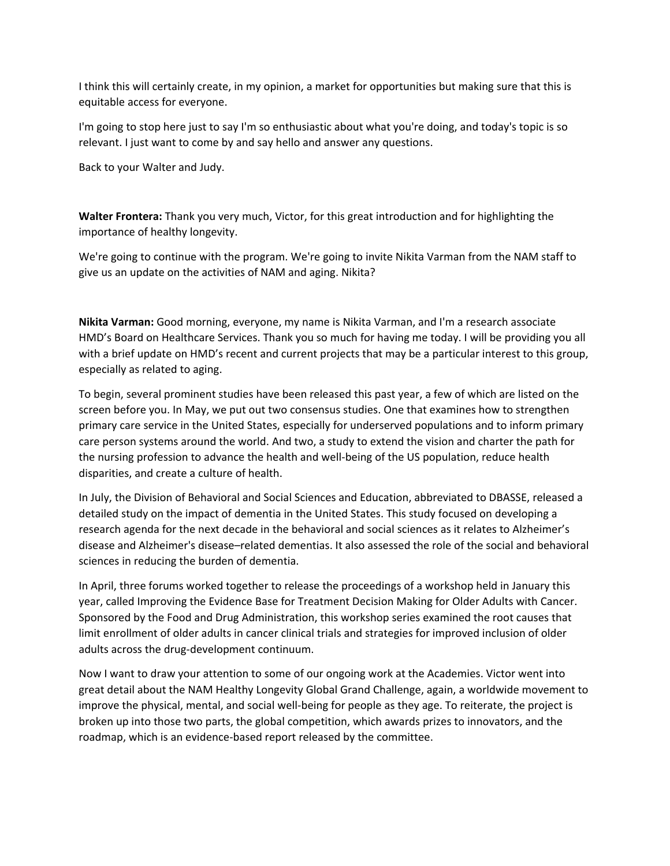I think this will certainly create, in my opinion, a market for opportunities but making sure that this is equitable access for everyone.

I'm going to stop here just to say I'm so enthusiastic about what you're doing, and today's topic is so relevant. I just want to come by and say hello and answer any questions.

Back to your Walter and Judy.

**Walter Frontera:** Thank you very much, Victor, for this great introduction and for highlighting the importance of healthy longevity.

We're going to continue with the program. We're going to invite Nikita Varman from the NAM staff to give us an update on the activities of NAM and aging. Nikita?

**Nikita Varman:** Good morning, everyone, my name is Nikita Varman, and I'm a research associate HMD's Board on Healthcare Services. Thank you so much for having me today. I will be providing you all with a brief update on HMD's recent and current projects that may be a particular interest to this group, especially as related to aging.

To begin, several prominent studies have been released this past year, a few of which are listed on the screen before you. In May, we put out two consensus studies. One that examines how to strengthen primary care service in the United States, especially for underserved populations and to inform primary care person systems around the world. And two, a study to extend the vision and charter the path for the nursing profession to advance the health and well‐being of the US population, reduce health disparities, and create a culture of health.

In July, the Division of Behavioral and Social Sciences and Education, abbreviated to DBASSE, released a detailed study on the impact of dementia in the United States. This study focused on developing a research agenda for the next decade in the behavioral and social sciences as it relates to Alzheimer's disease and Alzheimer's disease–related dementias. It also assessed the role of the social and behavioral sciences in reducing the burden of dementia.

In April, three forums worked together to release the proceedings of a workshop held in January this year, called Improving the Evidence Base for Treatment Decision Making for Older Adults with Cancer. Sponsored by the Food and Drug Administration, this workshop series examined the root causes that limit enrollment of older adults in cancer clinical trials and strategies for improved inclusion of older adults across the drug‐development continuum.

Now I want to draw your attention to some of our ongoing work at the Academies. Victor went into great detail about the NAM Healthy Longevity Global Grand Challenge, again, a worldwide movement to improve the physical, mental, and social well‐being for people as they age. To reiterate, the project is broken up into those two parts, the global competition, which awards prizes to innovators, and the roadmap, which is an evidence‐based report released by the committee.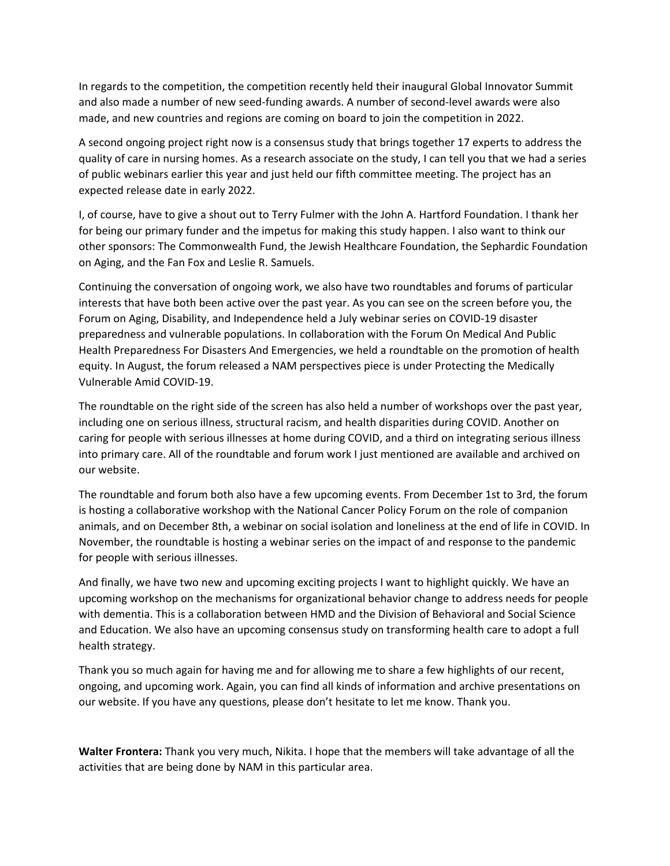In regards to the competition, the competition recently held their inaugural Global Innovator Summit and also made a number of new seed-funding awards. A number of second-level awards were also made, and new countries and regions are coming on board to join the competition in 2022.

A second ongoing project right now is a consensus study that brings together 17 experts to address the quality of care in nursing homes. As a research associate on the study, I can tell you that we had a series of public webinars earlier this year and just held our fifth committee meeting. The project has an expected release date in early 2022.

I, of course, have to give a shout out to Terry Fulmer with the John A. Hartford Foundation. I thank her for being our primary funder and the impetus for making this study happen. I also want to think our other sponsors: The Commonwealth Fund, the Jewish Healthcare Foundation, the Sephardic Foundation on Aging, and the Fan Fox and Leslie R. Samuels.

Continuing the conversation of ongoing work, we also have two roundtables and forums of particular interests that have both been active over the past year. As you can see on the screen before you, the Forum on Aging, Disability, and Independence held a July webinar series on COVID‐19 disaster preparedness and vulnerable populations. In collaboration with the Forum On Medical And Public Health Preparedness For Disasters And Emergencies, we held a roundtable on the promotion of health equity. In August, the forum released a NAM perspectives piece is under Protecting the Medically Vulnerable Amid COVID‐19.

The roundtable on the right side of the screen has also held a number of workshops over the past year, including one on serious illness, structural racism, and health disparities during COVID. Another on caring for people with serious illnesses at home during COVID, and a third on integrating serious illness into primary care. All of the roundtable and forum work I just mentioned are available and archived on our website.

The roundtable and forum both also have a few upcoming events. From December 1st to 3rd, the forum is hosting a collaborative workshop with the National Cancer Policy Forum on the role of companion animals, and on December 8th, a webinar on social isolation and loneliness at the end of life in COVID. In November, the roundtable is hosting a webinar series on the impact of and response to the pandemic for people with serious illnesses.

And finally, we have two new and upcoming exciting projects I want to highlight quickly. We have an upcoming workshop on the mechanisms for organizational behavior change to address needs for people with dementia. This is a collaboration between HMD and the Division of Behavioral and Social Science and Education. We also have an upcoming consensus study on transforming health care to adopt a full health strategy.

Thank you so much again for having me and for allowing me to share a few highlights of our recent, ongoing, and upcoming work. Again, you can find all kinds of information and archive presentations on our website. If you have any questions, please don't hesitate to let me know. Thank you.

**Walter Frontera:** Thank you very much, Nikita. I hope that the members will take advantage of all the activities that are being done by NAM in this particular area.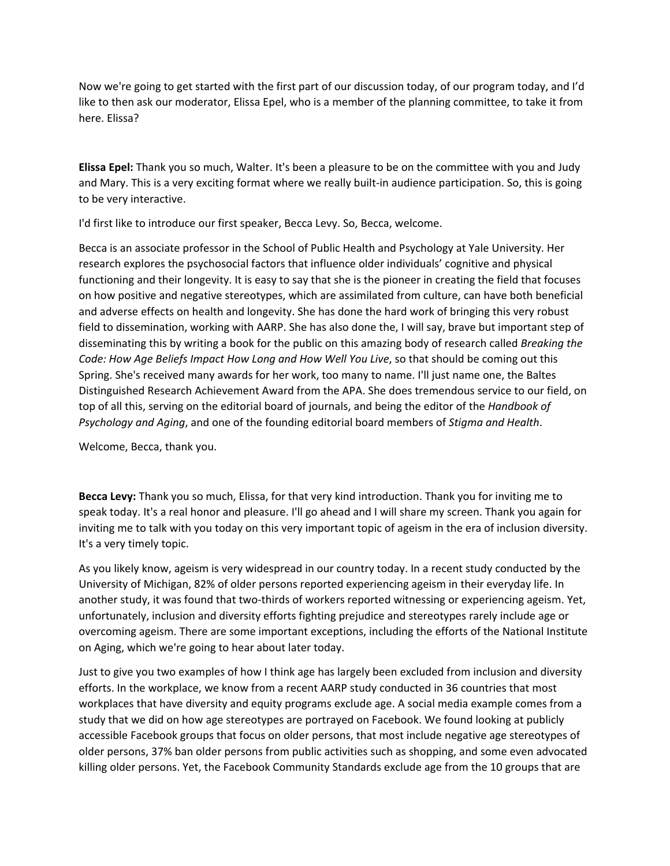Now we're going to get started with the first part of our discussion today, of our program today, and I'd like to then ask our moderator, Elissa Epel, who is a member of the planning committee, to take it from here. Elissa?

**Elissa Epel:** Thank you so much, Walter. It's been a pleasure to be on the committee with you and Judy and Mary. This is a very exciting format where we really built-in audience participation. So, this is going to be very interactive.

I'd first like to introduce our first speaker, Becca Levy. So, Becca, welcome.

Becca is an associate professor in the School of Public Health and Psychology at Yale University. Her research explores the psychosocial factors that influence older individuals' cognitive and physical functioning and their longevity. It is easy to say that she is the pioneer in creating the field that focuses on how positive and negative stereotypes, which are assimilated from culture, can have both beneficial and adverse effects on health and longevity. She has done the hard work of bringing this very robust field to dissemination, working with AARP. She has also done the, I will say, brave but important step of disseminating this by writing a book for the public on this amazing body of research called *Breaking the Code: How Age Beliefs Impact How Long and How Well You Live*, so that should be coming out this Spring. She's received many awards for her work, too many to name. I'll just name one, the Baltes Distinguished Research Achievement Award from the APA. She does tremendous service to our field, on top of all this, serving on the editorial board of journals, and being the editor of the *Handbook of Psychology and Aging*, and one of the founding editorial board members of *Stigma and Health*.

Welcome, Becca, thank you.

**Becca Levy:** Thank you so much, Elissa, for that very kind introduction. Thank you for inviting me to speak today. It's a real honor and pleasure. I'll go ahead and I will share my screen. Thank you again for inviting me to talk with you today on this very important topic of ageism in the era of inclusion diversity. It's a very timely topic.

As you likely know, ageism is very widespread in our country today. In a recent study conducted by the University of Michigan, 82% of older persons reported experiencing ageism in their everyday life. In another study, it was found that two-thirds of workers reported witnessing or experiencing ageism. Yet, unfortunately, inclusion and diversity efforts fighting prejudice and stereotypes rarely include age or overcoming ageism. There are some important exceptions, including the efforts of the National Institute on Aging, which we're going to hear about later today.

Just to give you two examples of how I think age has largely been excluded from inclusion and diversity efforts. In the workplace, we know from a recent AARP study conducted in 36 countries that most workplaces that have diversity and equity programs exclude age. A social media example comes from a study that we did on how age stereotypes are portrayed on Facebook. We found looking at publicly accessible Facebook groups that focus on older persons, that most include negative age stereotypes of older persons, 37% ban older persons from public activities such as shopping, and some even advocated killing older persons. Yet, the Facebook Community Standards exclude age from the 10 groups that are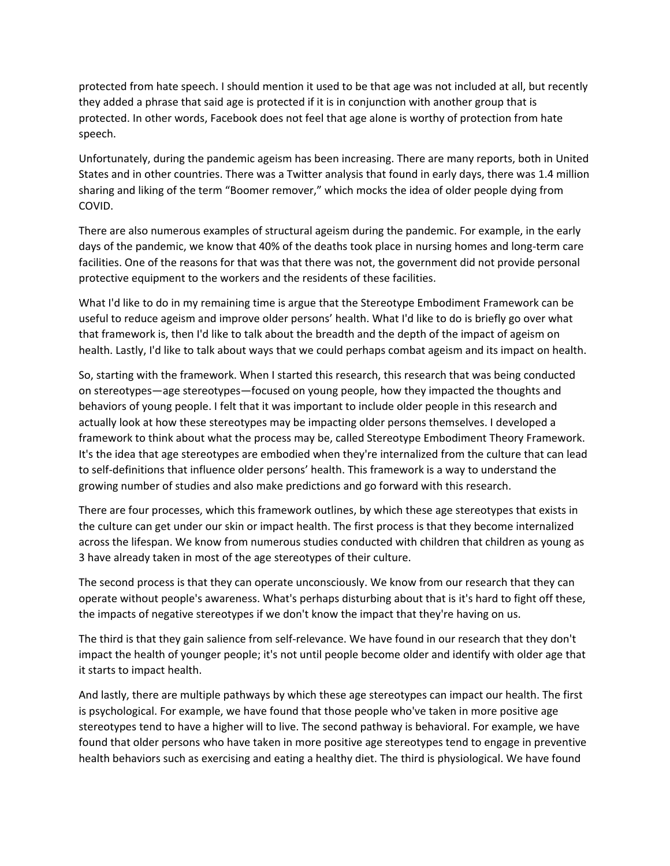protected from hate speech. I should mention it used to be that age was not included at all, but recently they added a phrase that said age is protected if it is in conjunction with another group that is protected. In other words, Facebook does not feel that age alone is worthy of protection from hate speech.

Unfortunately, during the pandemic ageism has been increasing. There are many reports, both in United States and in other countries. There was a Twitter analysis that found in early days, there was 1.4 million sharing and liking of the term "Boomer remover," which mocks the idea of older people dying from COVID.

There are also numerous examples of structural ageism during the pandemic. For example, in the early days of the pandemic, we know that 40% of the deaths took place in nursing homes and long‐term care facilities. One of the reasons for that was that there was not, the government did not provide personal protective equipment to the workers and the residents of these facilities.

What I'd like to do in my remaining time is argue that the Stereotype Embodiment Framework can be useful to reduce ageism and improve older persons' health. What I'd like to do is briefly go over what that framework is, then I'd like to talk about the breadth and the depth of the impact of ageism on health. Lastly, I'd like to talk about ways that we could perhaps combat ageism and its impact on health.

So, starting with the framework. When I started this research, this research that was being conducted on stereotypes—age stereotypes—focused on young people, how they impacted the thoughts and behaviors of young people. I felt that it was important to include older people in this research and actually look at how these stereotypes may be impacting older persons themselves. I developed a framework to think about what the process may be, called Stereotype Embodiment Theory Framework. It's the idea that age stereotypes are embodied when they're internalized from the culture that can lead to self‐definitions that influence older persons' health. This framework is a way to understand the growing number of studies and also make predictions and go forward with this research.

There are four processes, which this framework outlines, by which these age stereotypes that exists in the culture can get under our skin or impact health. The first process is that they become internalized across the lifespan. We know from numerous studies conducted with children that children as young as 3 have already taken in most of the age stereotypes of their culture.

The second process is that they can operate unconsciously. We know from our research that they can operate without people's awareness. What's perhaps disturbing about that is it's hard to fight off these, the impacts of negative stereotypes if we don't know the impact that they're having on us.

The third is that they gain salience from self-relevance. We have found in our research that they don't impact the health of younger people; it's not until people become older and identify with older age that it starts to impact health.

And lastly, there are multiple pathways by which these age stereotypes can impact our health. The first is psychological. For example, we have found that those people who've taken in more positive age stereotypes tend to have a higher will to live. The second pathway is behavioral. For example, we have found that older persons who have taken in more positive age stereotypes tend to engage in preventive health behaviors such as exercising and eating a healthy diet. The third is physiological. We have found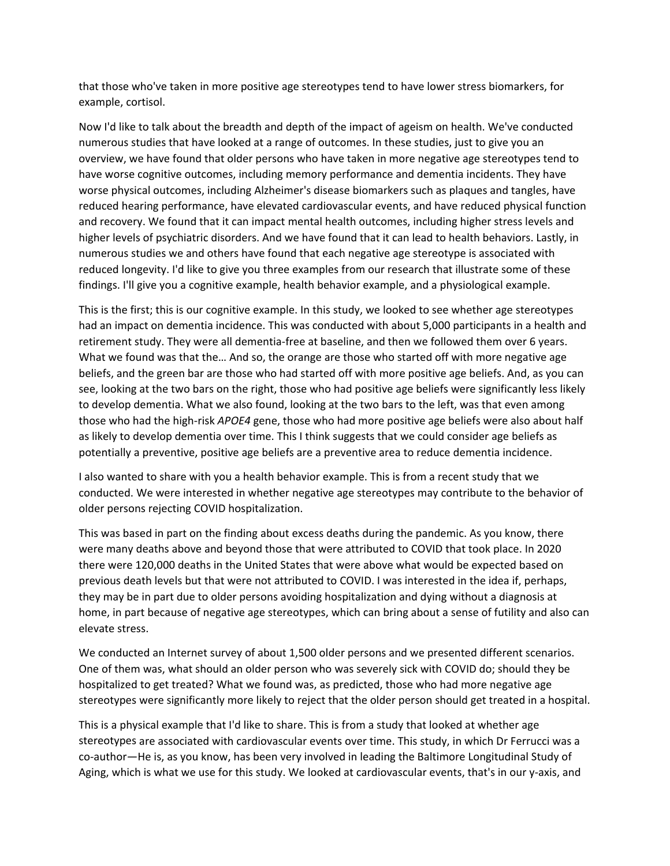that those who've taken in more positive age stereotypes tend to have lower stress biomarkers, for example, cortisol.

Now I'd like to talk about the breadth and depth of the impact of ageism on health. We've conducted numerous studies that have looked at a range of outcomes. In these studies, just to give you an overview, we have found that older persons who have taken in more negative age stereotypes tend to have worse cognitive outcomes, including memory performance and dementia incidents. They have worse physical outcomes, including Alzheimer's disease biomarkers such as plaques and tangles, have reduced hearing performance, have elevated cardiovascular events, and have reduced physical function and recovery. We found that it can impact mental health outcomes, including higher stress levels and higher levels of psychiatric disorders. And we have found that it can lead to health behaviors. Lastly, in numerous studies we and others have found that each negative age stereotype is associated with reduced longevity. I'd like to give you three examples from our research that illustrate some of these findings. I'll give you a cognitive example, health behavior example, and a physiological example.

This is the first; this is our cognitive example. In this study, we looked to see whether age stereotypes had an impact on dementia incidence. This was conducted with about 5,000 participants in a health and retirement study. They were all dementia‐free at baseline, and then we followed them over 6 years. What we found was that the… And so, the orange are those who started off with more negative age beliefs, and the green bar are those who had started off with more positive age beliefs. And, as you can see, looking at the two bars on the right, those who had positive age beliefs were significantly less likely to develop dementia. What we also found, looking at the two bars to the left, was that even among those who had the high‐risk *APOE4* gene, those who had more positive age beliefs were also about half as likely to develop dementia over time. This I think suggests that we could consider age beliefs as potentially a preventive, positive age beliefs are a preventive area to reduce dementia incidence.

I also wanted to share with you a health behavior example. This is from a recent study that we conducted. We were interested in whether negative age stereotypes may contribute to the behavior of older persons rejecting COVID hospitalization.

This was based in part on the finding about excess deaths during the pandemic. As you know, there were many deaths above and beyond those that were attributed to COVID that took place. In 2020 there were 120,000 deaths in the United States that were above what would be expected based on previous death levels but that were not attributed to COVID. I was interested in the idea if, perhaps, they may be in part due to older persons avoiding hospitalization and dying without a diagnosis at home, in part because of negative age stereotypes, which can bring about a sense of futility and also can elevate stress.

We conducted an Internet survey of about 1,500 older persons and we presented different scenarios. One of them was, what should an older person who was severely sick with COVID do; should they be hospitalized to get treated? What we found was, as predicted, those who had more negative age stereotypes were significantly more likely to reject that the older person should get treated in a hospital.

This is a physical example that I'd like to share. This is from a study that looked at whether age stereotypes are associated with cardiovascular events over time. This study, in which Dr Ferrucci was a co-author—He is, as you know, has been very involved in leading the Baltimore Longitudinal Study of Aging, which is what we use for this study. We looked at cardiovascular events, that's in our y‐axis, and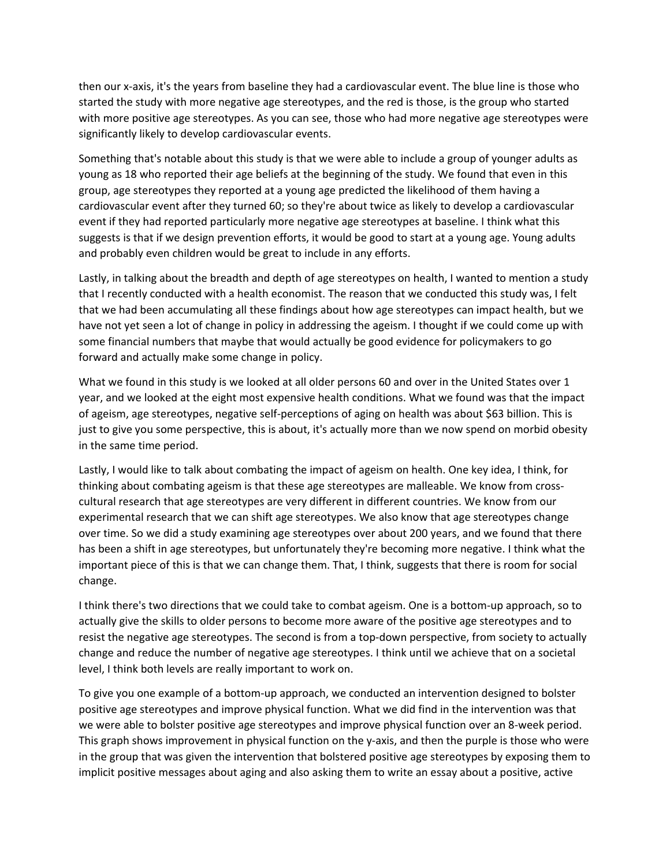then our x‐axis, it's the years from baseline they had a cardiovascular event. The blue line is those who started the study with more negative age stereotypes, and the red is those, is the group who started with more positive age stereotypes. As you can see, those who had more negative age stereotypes were significantly likely to develop cardiovascular events.

Something that's notable about this study is that we were able to include a group of younger adults as young as 18 who reported their age beliefs at the beginning of the study. We found that even in this group, age stereotypes they reported at a young age predicted the likelihood of them having a cardiovascular event after they turned 60; so they're about twice as likely to develop a cardiovascular event if they had reported particularly more negative age stereotypes at baseline. I think what this suggests is that if we design prevention efforts, it would be good to start at a young age. Young adults and probably even children would be great to include in any efforts.

Lastly, in talking about the breadth and depth of age stereotypes on health, I wanted to mention a study that I recently conducted with a health economist. The reason that we conducted this study was, I felt that we had been accumulating all these findings about how age stereotypes can impact health, but we have not yet seen a lot of change in policy in addressing the ageism. I thought if we could come up with some financial numbers that maybe that would actually be good evidence for policymakers to go forward and actually make some change in policy.

What we found in this study is we looked at all older persons 60 and over in the United States over 1 year, and we looked at the eight most expensive health conditions. What we found was that the impact of ageism, age stereotypes, negative self‐perceptions of aging on health was about \$63 billion. This is just to give you some perspective, this is about, it's actually more than we now spend on morbid obesity in the same time period.

Lastly, I would like to talk about combating the impact of ageism on health. One key idea, I think, for thinking about combating ageism is that these age stereotypes are malleable. We know from cross‐ cultural research that age stereotypes are very different in different countries. We know from our experimental research that we can shift age stereotypes. We also know that age stereotypes change over time. So we did a study examining age stereotypes over about 200 years, and we found that there has been a shift in age stereotypes, but unfortunately they're becoming more negative. I think what the important piece of this is that we can change them. That, I think, suggests that there is room for social change.

I think there's two directions that we could take to combat ageism. One is a bottom‐up approach, so to actually give the skills to older persons to become more aware of the positive age stereotypes and to resist the negative age stereotypes. The second is from a top-down perspective, from society to actually change and reduce the number of negative age stereotypes. I think until we achieve that on a societal level, I think both levels are really important to work on.

To give you one example of a bottom‐up approach, we conducted an intervention designed to bolster positive age stereotypes and improve physical function. What we did find in the intervention was that we were able to bolster positive age stereotypes and improve physical function over an 8‐week period. This graph shows improvement in physical function on the y-axis, and then the purple is those who were in the group that was given the intervention that bolstered positive age stereotypes by exposing them to implicit positive messages about aging and also asking them to write an essay about a positive, active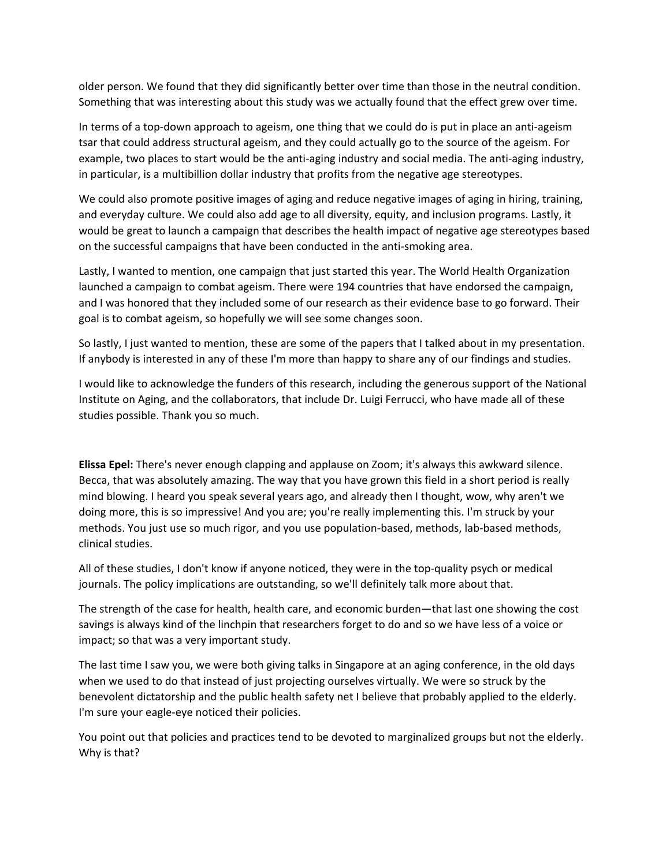older person. We found that they did significantly better over time than those in the neutral condition. Something that was interesting about this study was we actually found that the effect grew over time.

In terms of a top-down approach to ageism, one thing that we could do is put in place an anti-ageism tsar that could address structural ageism, and they could actually go to the source of the ageism. For example, two places to start would be the anti-aging industry and social media. The anti-aging industry, in particular, is a multibillion dollar industry that profits from the negative age stereotypes.

We could also promote positive images of aging and reduce negative images of aging in hiring, training, and everyday culture. We could also add age to all diversity, equity, and inclusion programs. Lastly, it would be great to launch a campaign that describes the health impact of negative age stereotypes based on the successful campaigns that have been conducted in the anti‐smoking area.

Lastly, I wanted to mention, one campaign that just started this year. The World Health Organization launched a campaign to combat ageism. There were 194 countries that have endorsed the campaign, and I was honored that they included some of our research as their evidence base to go forward. Their goal is to combat ageism, so hopefully we will see some changes soon.

So lastly, I just wanted to mention, these are some of the papers that I talked about in my presentation. If anybody is interested in any of these I'm more than happy to share any of our findings and studies.

I would like to acknowledge the funders of this research, including the generous support of the National Institute on Aging, and the collaborators, that include Dr. Luigi Ferrucci, who have made all of these studies possible. Thank you so much.

**Elissa Epel:** There's never enough clapping and applause on Zoom; it's always this awkward silence. Becca, that was absolutely amazing. The way that you have grown this field in a short period is really mind blowing. I heard you speak several years ago, and already then I thought, wow, why aren't we doing more, this is so impressive! And you are; you're really implementing this. I'm struck by your methods. You just use so much rigor, and you use population‐based, methods, lab‐based methods, clinical studies.

All of these studies, I don't know if anyone noticed, they were in the top-quality psych or medical journals. The policy implications are outstanding, so we'll definitely talk more about that.

The strength of the case for health, health care, and economic burden—that last one showing the cost savings is always kind of the linchpin that researchers forget to do and so we have less of a voice or impact; so that was a very important study.

The last time I saw you, we were both giving talks in Singapore at an aging conference, in the old days when we used to do that instead of just projecting ourselves virtually. We were so struck by the benevolent dictatorship and the public health safety net I believe that probably applied to the elderly. I'm sure your eagle‐eye noticed their policies.

You point out that policies and practices tend to be devoted to marginalized groups but not the elderly. Why is that?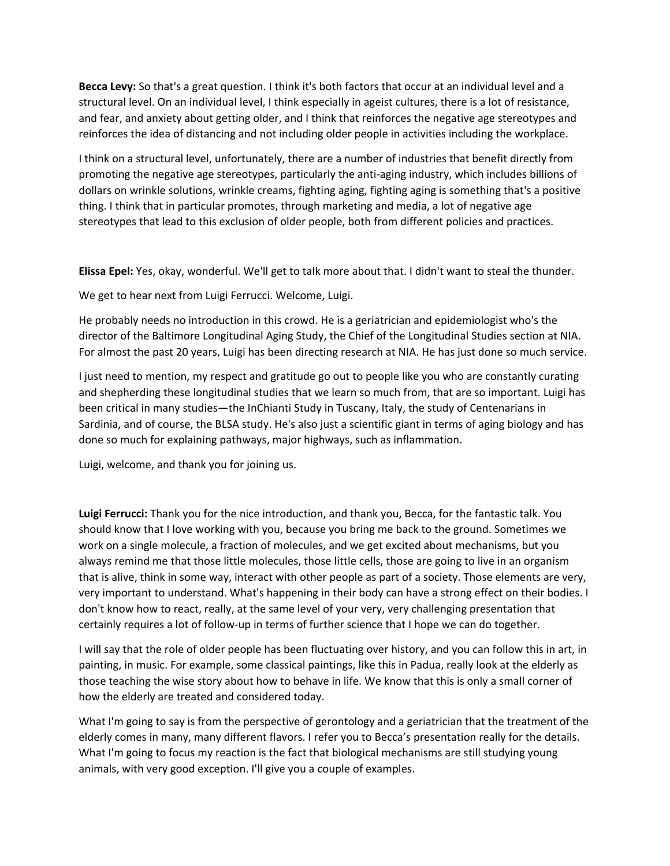**Becca Levy:** So that's a great question. I think it's both factors that occur at an individual level and a structural level. On an individual level, I think especially in ageist cultures, there is a lot of resistance, and fear, and anxiety about getting older, and I think that reinforces the negative age stereotypes and reinforces the idea of distancing and not including older people in activities including the workplace.

I think on a structural level, unfortunately, there are a number of industries that benefit directly from promoting the negative age stereotypes, particularly the anti‐aging industry, which includes billions of dollars on wrinkle solutions, wrinkle creams, fighting aging, fighting aging is something that's a positive thing. I think that in particular promotes, through marketing and media, a lot of negative age stereotypes that lead to this exclusion of older people, both from different policies and practices.

**Elissa Epel:** Yes, okay, wonderful. We'll get to talk more about that. I didn't want to steal the thunder.

We get to hear next from Luigi Ferrucci. Welcome, Luigi.

He probably needs no introduction in this crowd. He is a geriatrician and epidemiologist who's the director of the Baltimore Longitudinal Aging Study, the Chief of the Longitudinal Studies section at NIA. For almost the past 20 years, Luigi has been directing research at NIA. He has just done so much service.

I just need to mention, my respect and gratitude go out to people like you who are constantly curating and shepherding these longitudinal studies that we learn so much from, that are so important. Luigi has been critical in many studies—the InChianti Study in Tuscany, Italy, the study of Centenarians in Sardinia, and of course, the BLSA study. He's also just a scientific giant in terms of aging biology and has done so much for explaining pathways, major highways, such as inflammation.

Luigi, welcome, and thank you for joining us.

**Luigi Ferrucci:** Thank you for the nice introduction, and thank you, Becca, for the fantastic talk. You should know that I love working with you, because you bring me back to the ground. Sometimes we work on a single molecule, a fraction of molecules, and we get excited about mechanisms, but you always remind me that those little molecules, those little cells, those are going to live in an organism that is alive, think in some way, interact with other people as part of a society. Those elements are very, very important to understand. What's happening in their body can have a strong effect on their bodies. I don't know how to react, really, at the same level of your very, very challenging presentation that certainly requires a lot of follow-up in terms of further science that I hope we can do together.

I will say that the role of older people has been fluctuating over history, and you can follow this in art, in painting, in music. For example, some classical paintings, like this in Padua, really look at the elderly as those teaching the wise story about how to behave in life. We know that this is only a small corner of how the elderly are treated and considered today.

What I'm going to say is from the perspective of gerontology and a geriatrician that the treatment of the elderly comes in many, many different flavors. I refer you to Becca's presentation really for the details. What I'm going to focus my reaction is the fact that biological mechanisms are still studying young animals, with very good exception. I'll give you a couple of examples.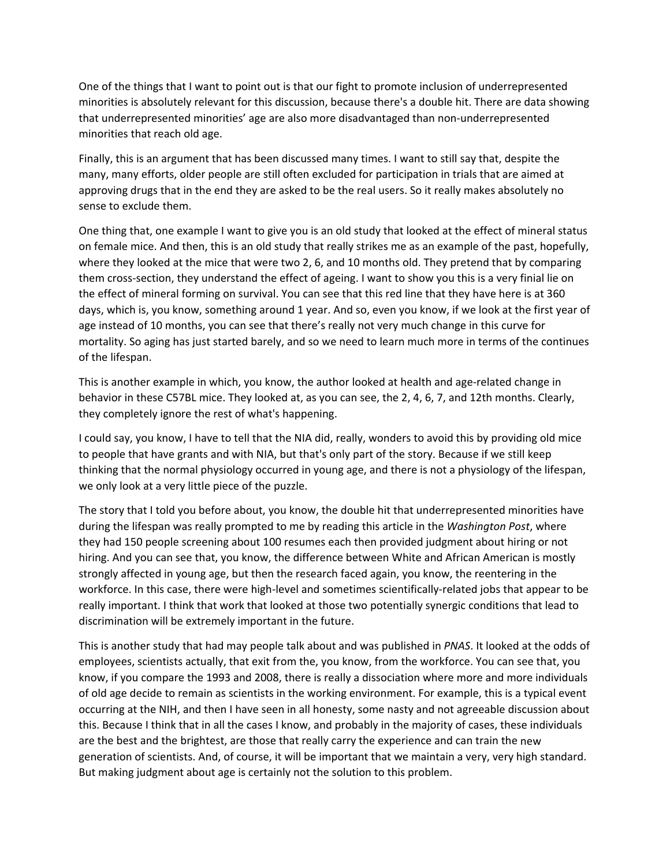One of the things that I want to point out is that our fight to promote inclusion of underrepresented minorities is absolutely relevant for this discussion, because there's a double hit. There are data showing that underrepresented minorities' age are also more disadvantaged than non‐underrepresented minorities that reach old age.

Finally, this is an argument that has been discussed many times. I want to still say that, despite the many, many efforts, older people are still often excluded for participation in trials that are aimed at approving drugs that in the end they are asked to be the real users. So it really makes absolutely no sense to exclude them.

One thing that, one example I want to give you is an old study that looked at the effect of mineral status on female mice. And then, this is an old study that really strikes me as an example of the past, hopefully, where they looked at the mice that were two 2, 6, and 10 months old. They pretend that by comparing them cross‐section, they understand the effect of ageing. I want to show you this is a very finial lie on the effect of mineral forming on survival. You can see that this red line that they have here is at 360 days, which is, you know, something around 1 year. And so, even you know, if we look at the first year of age instead of 10 months, you can see that there's really not very much change in this curve for mortality. So aging has just started barely, and so we need to learn much more in terms of the continues of the lifespan.

This is another example in which, you know, the author looked at health and age-related change in behavior in these C57BL mice. They looked at, as you can see, the 2, 4, 6, 7, and 12th months. Clearly, they completely ignore the rest of what's happening.

I could say, you know, I have to tell that the NIA did, really, wonders to avoid this by providing old mice to people that have grants and with NIA, but that's only part of the story. Because if we still keep thinking that the normal physiology occurred in young age, and there is not a physiology of the lifespan, we only look at a very little piece of the puzzle.

The story that I told you before about, you know, the double hit that underrepresented minorities have during the lifespan was really prompted to me by reading this article in the *Washington Post*, where they had 150 people screening about 100 resumes each then provided judgment about hiring or not hiring. And you can see that, you know, the difference between White and African American is mostly strongly affected in young age, but then the research faced again, you know, the reentering in the workforce. In this case, there were high-level and sometimes scientifically-related jobs that appear to be really important. I think that work that looked at those two potentially synergic conditions that lead to discrimination will be extremely important in the future.

This is another study that had may people talk about and was published in *PNAS*. It looked at the odds of employees, scientists actually, that exit from the, you know, from the workforce. You can see that, you know, if you compare the 1993 and 2008, there is really a dissociation where more and more individuals of old age decide to remain as scientists in the working environment. For example, this is a typical event occurring at the NIH, and then I have seen in all honesty, some nasty and not agreeable discussion about this. Because I think that in all the cases I know, and probably in the majority of cases, these individuals are the best and the brightest, are those that really carry the experience and can train the new generation of scientists. And, of course, it will be important that we maintain a very, very high standard. But making judgment about age is certainly not the solution to this problem.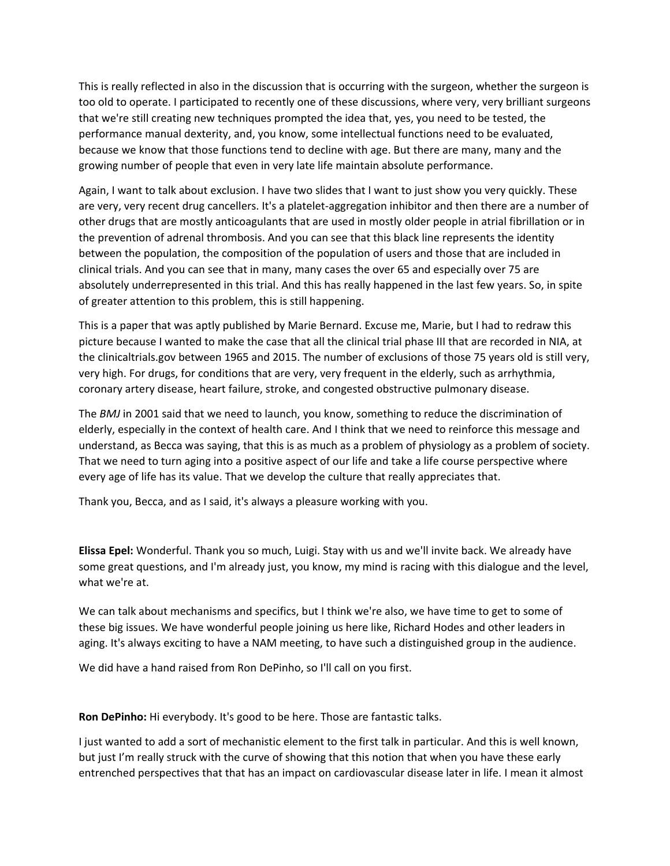This is really reflected in also in the discussion that is occurring with the surgeon, whether the surgeon is too old to operate. I participated to recently one of these discussions, where very, very brilliant surgeons that we're still creating new techniques prompted the idea that, yes, you need to be tested, the performance manual dexterity, and, you know, some intellectual functions need to be evaluated, because we know that those functions tend to decline with age. But there are many, many and the growing number of people that even in very late life maintain absolute performance.

Again, I want to talk about exclusion. I have two slides that I want to just show you very quickly. These are very, very recent drug cancellers. It's a platelet-aggregation inhibitor and then there are a number of other drugs that are mostly anticoagulants that are used in mostly older people in atrial fibrillation or in the prevention of adrenal thrombosis. And you can see that this black line represents the identity between the population, the composition of the population of users and those that are included in clinical trials. And you can see that in many, many cases the over 65 and especially over 75 are absolutely underrepresented in this trial. And this has really happened in the last few years. So, in spite of greater attention to this problem, this is still happening.

This is a paper that was aptly published by Marie Bernard. Excuse me, Marie, but I had to redraw this picture because I wanted to make the case that all the clinical trial phase III that are recorded in NIA, at the clinicaltrials.gov between 1965 and 2015. The number of exclusions of those 75 years old is still very, very high. For drugs, for conditions that are very, very frequent in the elderly, such as arrhythmia, coronary artery disease, heart failure, stroke, and congested obstructive pulmonary disease.

The *BMJ* in 2001 said that we need to launch, you know, something to reduce the discrimination of elderly, especially in the context of health care. And I think that we need to reinforce this message and understand, as Becca was saying, that this is as much as a problem of physiology as a problem of society. That we need to turn aging into a positive aspect of our life and take a life course perspective where every age of life has its value. That we develop the culture that really appreciates that.

Thank you, Becca, and as I said, it's always a pleasure working with you.

**Elissa Epel:** Wonderful. Thank you so much, Luigi. Stay with us and we'll invite back. We already have some great questions, and I'm already just, you know, my mind is racing with this dialogue and the level, what we're at.

We can talk about mechanisms and specifics, but I think we're also, we have time to get to some of these big issues. We have wonderful people joining us here like, Richard Hodes and other leaders in aging. It's always exciting to have a NAM meeting, to have such a distinguished group in the audience.

We did have a hand raised from Ron DePinho, so I'll call on you first.

**Ron DePinho:** Hi everybody. It's good to be here. Those are fantastic talks.

I just wanted to add a sort of mechanistic element to the first talk in particular. And this is well known, but just I'm really struck with the curve of showing that this notion that when you have these early entrenched perspectives that that has an impact on cardiovascular disease later in life. I mean it almost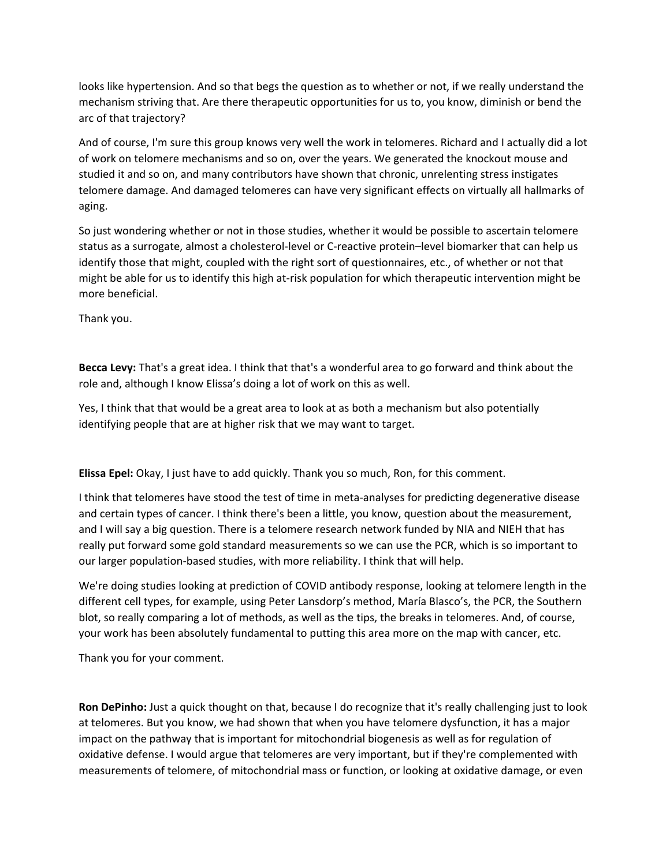looks like hypertension. And so that begs the question as to whether or not, if we really understand the mechanism striving that. Are there therapeutic opportunities for us to, you know, diminish or bend the arc of that trajectory?

And of course, I'm sure this group knows very well the work in telomeres. Richard and I actually did a lot of work on telomere mechanisms and so on, over the years. We generated the knockout mouse and studied it and so on, and many contributors have shown that chronic, unrelenting stress instigates telomere damage. And damaged telomeres can have very significant effects on virtually all hallmarks of aging.

So just wondering whether or not in those studies, whether it would be possible to ascertain telomere status as a surrogate, almost a cholesterol‐level or C‐reactive protein–level biomarker that can help us identify those that might, coupled with the right sort of questionnaires, etc., of whether or not that might be able for us to identify this high at-risk population for which therapeutic intervention might be more beneficial.

Thank you.

**Becca Levy:** That's a great idea. I think that that's a wonderful area to go forward and think about the role and, although I know Elissa's doing a lot of work on this as well.

Yes, I think that that would be a great area to look at as both a mechanism but also potentially identifying people that are at higher risk that we may want to target.

**Elissa Epel:** Okay, I just have to add quickly. Thank you so much, Ron, for this comment.

I think that telomeres have stood the test of time in meta‐analyses for predicting degenerative disease and certain types of cancer. I think there's been a little, you know, question about the measurement, and I will say a big question. There is a telomere research network funded by NIA and NIEH that has really put forward some gold standard measurements so we can use the PCR, which is so important to our larger population‐based studies, with more reliability. I think that will help.

We're doing studies looking at prediction of COVID antibody response, looking at telomere length in the different cell types, for example, using Peter Lansdorp's method, María Blasco's, the PCR, the Southern blot, so really comparing a lot of methods, as well as the tips, the breaks in telomeres. And, of course, your work has been absolutely fundamental to putting this area more on the map with cancer, etc.

Thank you for your comment.

**Ron DePinho:** Just a quick thought on that, because I do recognize that it's really challenging just to look at telomeres. But you know, we had shown that when you have telomere dysfunction, it has a major impact on the pathway that is important for mitochondrial biogenesis as well as for regulation of oxidative defense. I would argue that telomeres are very important, but if they're complemented with measurements of telomere, of mitochondrial mass or function, or looking at oxidative damage, or even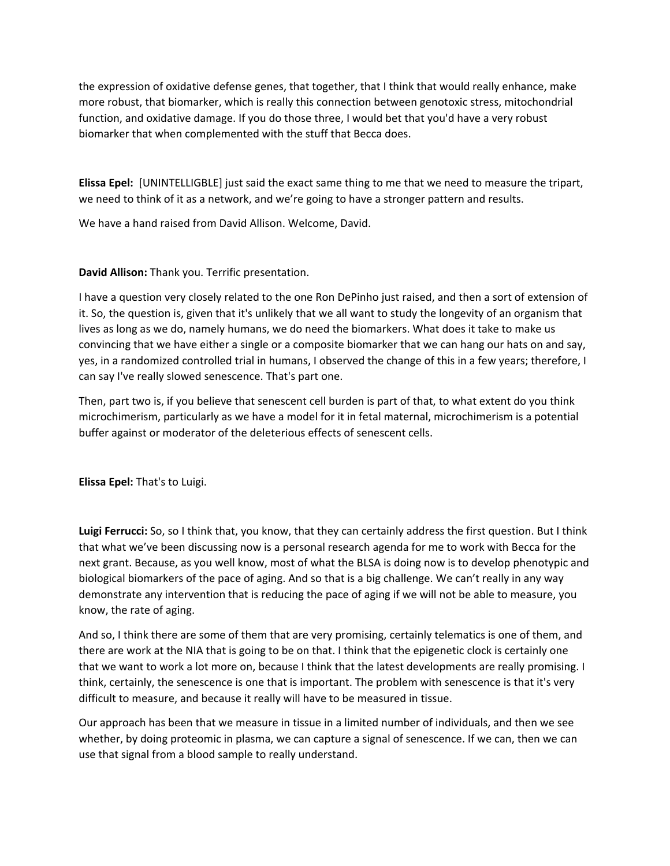the expression of oxidative defense genes, that together, that I think that would really enhance, make more robust, that biomarker, which is really this connection between genotoxic stress, mitochondrial function, and oxidative damage. If you do those three, I would bet that you'd have a very robust biomarker that when complemented with the stuff that Becca does.

**Elissa Epel:** [UNINTELLIGBLE] just said the exact same thing to me that we need to measure the tripart, we need to think of it as a network, and we're going to have a stronger pattern and results.

We have a hand raised from David Allison. Welcome, David.

## **David Allison:** Thank you. Terrific presentation.

I have a question very closely related to the one Ron DePinho just raised, and then a sort of extension of it. So, the question is, given that it's unlikely that we all want to study the longevity of an organism that lives as long as we do, namely humans, we do need the biomarkers. What does it take to make us convincing that we have either a single or a composite biomarker that we can hang our hats on and say, yes, in a randomized controlled trial in humans, I observed the change of this in a few years; therefore, I can say I've really slowed senescence. That's part one.

Then, part two is, if you believe that senescent cell burden is part of that, to what extent do you think microchimerism, particularly as we have a model for it in fetal maternal, microchimerism is a potential buffer against or moderator of the deleterious effects of senescent cells.

**Elissa Epel:** That's to Luigi.

**Luigi Ferrucci:** So, so I think that, you know, that they can certainly address the first question. But I think that what we've been discussing now is a personal research agenda for me to work with Becca for the next grant. Because, as you well know, most of what the BLSA is doing now is to develop phenotypic and biological biomarkers of the pace of aging. And so that is a big challenge. We can't really in any way demonstrate any intervention that is reducing the pace of aging if we will not be able to measure, you know, the rate of aging.

And so, I think there are some of them that are very promising, certainly telematics is one of them, and there are work at the NIA that is going to be on that. I think that the epigenetic clock is certainly one that we want to work a lot more on, because I think that the latest developments are really promising. I think, certainly, the senescence is one that is important. The problem with senescence is that it's very difficult to measure, and because it really will have to be measured in tissue.

Our approach has been that we measure in tissue in a limited number of individuals, and then we see whether, by doing proteomic in plasma, we can capture a signal of senescence. If we can, then we can use that signal from a blood sample to really understand.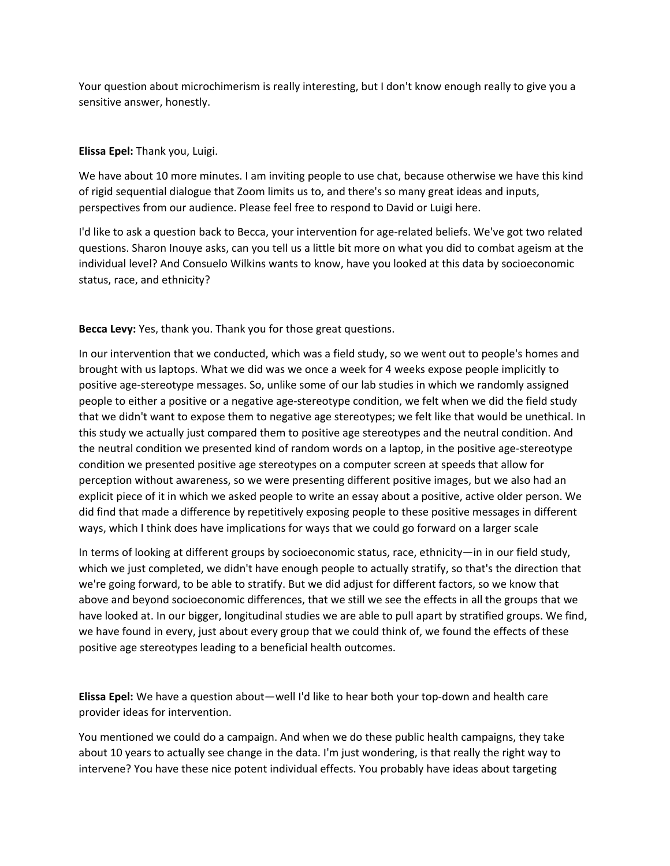Your question about microchimerism is really interesting, but I don't know enough really to give you a sensitive answer, honestly.

## **Elissa Epel:** Thank you, Luigi.

We have about 10 more minutes. I am inviting people to use chat, because otherwise we have this kind of rigid sequential dialogue that Zoom limits us to, and there's so many great ideas and inputs, perspectives from our audience. Please feel free to respond to David or Luigi here.

I'd like to ask a question back to Becca, your intervention for age-related beliefs. We've got two related questions. Sharon Inouye asks, can you tell us a little bit more on what you did to combat ageism at the individual level? And Consuelo Wilkins wants to know, have you looked at this data by socioeconomic status, race, and ethnicity?

**Becca Levy:** Yes, thank you. Thank you for those great questions.

In our intervention that we conducted, which was a field study, so we went out to people's homes and brought with us laptops. What we did was we once a week for 4 weeks expose people implicitly to positive age-stereotype messages. So, unlike some of our lab studies in which we randomly assigned people to either a positive or a negative age‐stereotype condition, we felt when we did the field study that we didn't want to expose them to negative age stereotypes; we felt like that would be unethical. In this study we actually just compared them to positive age stereotypes and the neutral condition. And the neutral condition we presented kind of random words on a laptop, in the positive age‐stereotype condition we presented positive age stereotypes on a computer screen at speeds that allow for perception without awareness, so we were presenting different positive images, but we also had an explicit piece of it in which we asked people to write an essay about a positive, active older person. We did find that made a difference by repetitively exposing people to these positive messages in different ways, which I think does have implications for ways that we could go forward on a larger scale

In terms of looking at different groups by socioeconomic status, race, ethnicity—in in our field study, which we just completed, we didn't have enough people to actually stratify, so that's the direction that we're going forward, to be able to stratify. But we did adjust for different factors, so we know that above and beyond socioeconomic differences, that we still we see the effects in all the groups that we have looked at. In our bigger, longitudinal studies we are able to pull apart by stratified groups. We find, we have found in every, just about every group that we could think of, we found the effects of these positive age stereotypes leading to a beneficial health outcomes.

**Elissa Epel:** We have a question about—well I'd like to hear both your top‐down and health care provider ideas for intervention.

You mentioned we could do a campaign. And when we do these public health campaigns, they take about 10 years to actually see change in the data. I'm just wondering, is that really the right way to intervene? You have these nice potent individual effects. You probably have ideas about targeting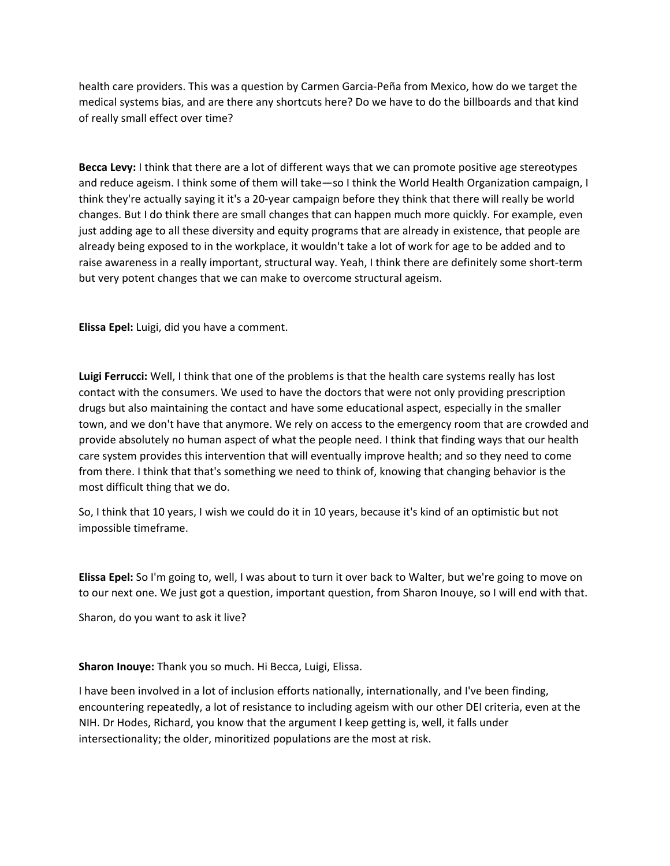health care providers. This was a question by Carmen Garcia‐Peña from Mexico, how do we target the medical systems bias, and are there any shortcuts here? Do we have to do the billboards and that kind of really small effect over time?

**Becca Levy:** I think that there are a lot of different ways that we can promote positive age stereotypes and reduce ageism. I think some of them will take—so I think the World Health Organization campaign, I think they're actually saying it it's a 20‐year campaign before they think that there will really be world changes. But I do think there are small changes that can happen much more quickly. For example, even just adding age to all these diversity and equity programs that are already in existence, that people are already being exposed to in the workplace, it wouldn't take a lot of work for age to be added and to raise awareness in a really important, structural way. Yeah, I think there are definitely some short‐term but very potent changes that we can make to overcome structural ageism.

**Elissa Epel:** Luigi, did you have a comment.

**Luigi Ferrucci:** Well, I think that one of the problems is that the health care systems really has lost contact with the consumers. We used to have the doctors that were not only providing prescription drugs but also maintaining the contact and have some educational aspect, especially in the smaller town, and we don't have that anymore. We rely on access to the emergency room that are crowded and provide absolutely no human aspect of what the people need. I think that finding ways that our health care system provides this intervention that will eventually improve health; and so they need to come from there. I think that that's something we need to think of, knowing that changing behavior is the most difficult thing that we do.

So, I think that 10 years, I wish we could do it in 10 years, because it's kind of an optimistic but not impossible timeframe.

**Elissa Epel:** So I'm going to, well, I was about to turn it over back to Walter, but we're going to move on to our next one. We just got a question, important question, from Sharon Inouye, so I will end with that.

Sharon, do you want to ask it live?

**Sharon Inouye:** Thank you so much. Hi Becca, Luigi, Elissa.

I have been involved in a lot of inclusion efforts nationally, internationally, and I've been finding, encountering repeatedly, a lot of resistance to including ageism with our other DEI criteria, even at the NIH. Dr Hodes, Richard, you know that the argument I keep getting is, well, it falls under intersectionality; the older, minoritized populations are the most at risk.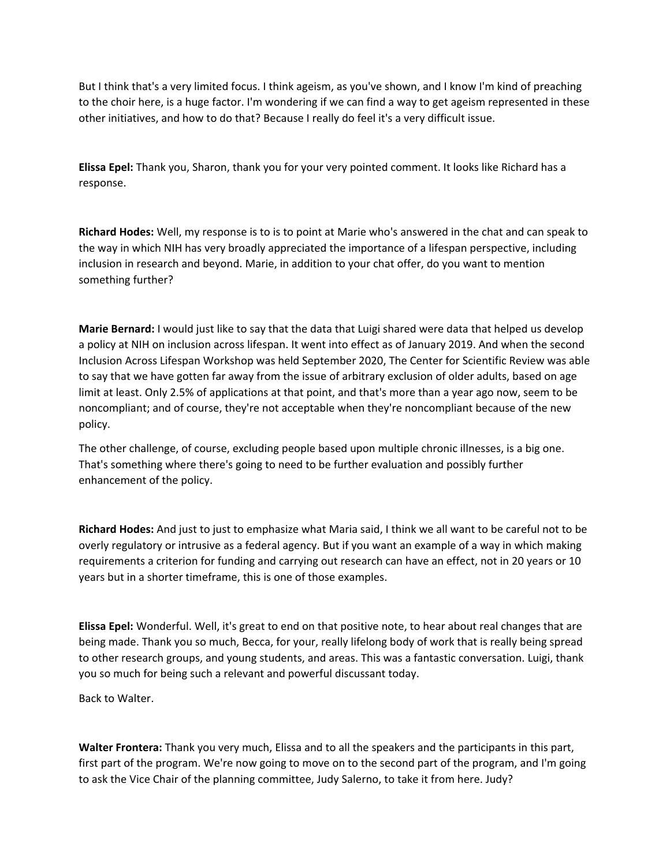But I think that's a very limited focus. I think ageism, as you've shown, and I know I'm kind of preaching to the choir here, is a huge factor. I'm wondering if we can find a way to get ageism represented in these other initiatives, and how to do that? Because I really do feel it's a very difficult issue.

**Elissa Epel:** Thank you, Sharon, thank you for your very pointed comment. It looks like Richard has a response.

**Richard Hodes:** Well, my response is to is to point at Marie who's answered in the chat and can speak to the way in which NIH has very broadly appreciated the importance of a lifespan perspective, including inclusion in research and beyond. Marie, in addition to your chat offer, do you want to mention something further?

**Marie Bernard:** I would just like to say that the data that Luigi shared were data that helped us develop a policy at NIH on inclusion across lifespan. It went into effect as of January 2019. And when the second Inclusion Across Lifespan Workshop was held September 2020, The Center for Scientific Review was able to say that we have gotten far away from the issue of arbitrary exclusion of older adults, based on age limit at least. Only 2.5% of applications at that point, and that's more than a year ago now, seem to be noncompliant; and of course, they're not acceptable when they're noncompliant because of the new policy.

The other challenge, of course, excluding people based upon multiple chronic illnesses, is a big one. That's something where there's going to need to be further evaluation and possibly further enhancement of the policy.

**Richard Hodes:** And just to just to emphasize what Maria said, I think we all want to be careful not to be overly regulatory or intrusive as a federal agency. But if you want an example of a way in which making requirements a criterion for funding and carrying out research can have an effect, not in 20 years or 10 years but in a shorter timeframe, this is one of those examples.

**Elissa Epel:** Wonderful. Well, it's great to end on that positive note, to hear about real changes that are being made. Thank you so much, Becca, for your, really lifelong body of work that is really being spread to other research groups, and young students, and areas. This was a fantastic conversation. Luigi, thank you so much for being such a relevant and powerful discussant today.

Back to Walter.

**Walter Frontera:** Thank you very much, Elissa and to all the speakers and the participants in this part, first part of the program. We're now going to move on to the second part of the program, and I'm going to ask the Vice Chair of the planning committee, Judy Salerno, to take it from here. Judy?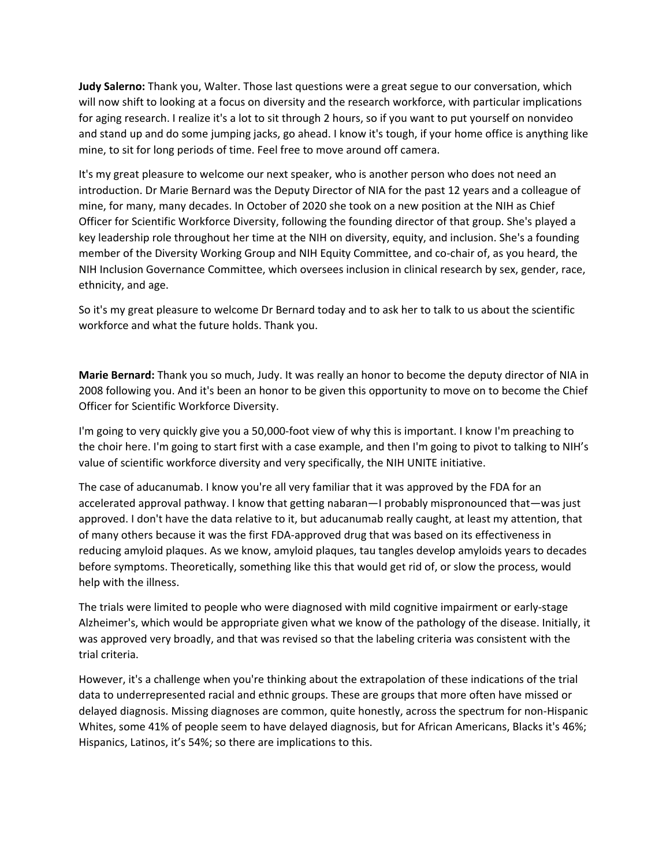**Judy Salerno:** Thank you, Walter. Those last questions were a great segue to our conversation, which will now shift to looking at a focus on diversity and the research workforce, with particular implications for aging research. I realize it's a lot to sit through 2 hours, so if you want to put yourself on nonvideo and stand up and do some jumping jacks, go ahead. I know it's tough, if your home office is anything like mine, to sit for long periods of time. Feel free to move around off camera.

It's my great pleasure to welcome our next speaker, who is another person who does not need an introduction. Dr Marie Bernard was the Deputy Director of NIA for the past 12 years and a colleague of mine, for many, many decades. In October of 2020 she took on a new position at the NIH as Chief Officer for Scientific Workforce Diversity, following the founding director of that group. She's played a key leadership role throughout her time at the NIH on diversity, equity, and inclusion. She's a founding member of the Diversity Working Group and NIH Equity Committee, and co-chair of, as you heard, the NIH Inclusion Governance Committee, which oversees inclusion in clinical research by sex, gender, race, ethnicity, and age.

So it's my great pleasure to welcome Dr Bernard today and to ask her to talk to us about the scientific workforce and what the future holds. Thank you.

**Marie Bernard:** Thank you so much, Judy. It was really an honor to become the deputy director of NIA in 2008 following you. And it's been an honor to be given this opportunity to move on to become the Chief Officer for Scientific Workforce Diversity.

I'm going to very quickly give you a 50,000‐foot view of why this is important. I know I'm preaching to the choir here. I'm going to start first with a case example, and then I'm going to pivot to talking to NIH's value of scientific workforce diversity and very specifically, the NIH UNITE initiative.

The case of aducanumab. I know you're all very familiar that it was approved by the FDA for an accelerated approval pathway. I know that getting nabaran—I probably mispronounced that—was just approved. I don't have the data relative to it, but aducanumab really caught, at least my attention, that of many others because it was the first FDA‐approved drug that was based on its effectiveness in reducing amyloid plaques. As we know, amyloid plaques, tau tangles develop amyloids years to decades before symptoms. Theoretically, something like this that would get rid of, or slow the process, would help with the illness.

The trials were limited to people who were diagnosed with mild cognitive impairment or early‐stage Alzheimer's, which would be appropriate given what we know of the pathology of the disease. Initially, it was approved very broadly, and that was revised so that the labeling criteria was consistent with the trial criteria.

However, it's a challenge when you're thinking about the extrapolation of these indications of the trial data to underrepresented racial and ethnic groups. These are groups that more often have missed or delayed diagnosis. Missing diagnoses are common, quite honestly, across the spectrum for non‐Hispanic Whites, some 41% of people seem to have delayed diagnosis, but for African Americans, Blacks it's 46%; Hispanics, Latinos, it's 54%; so there are implications to this.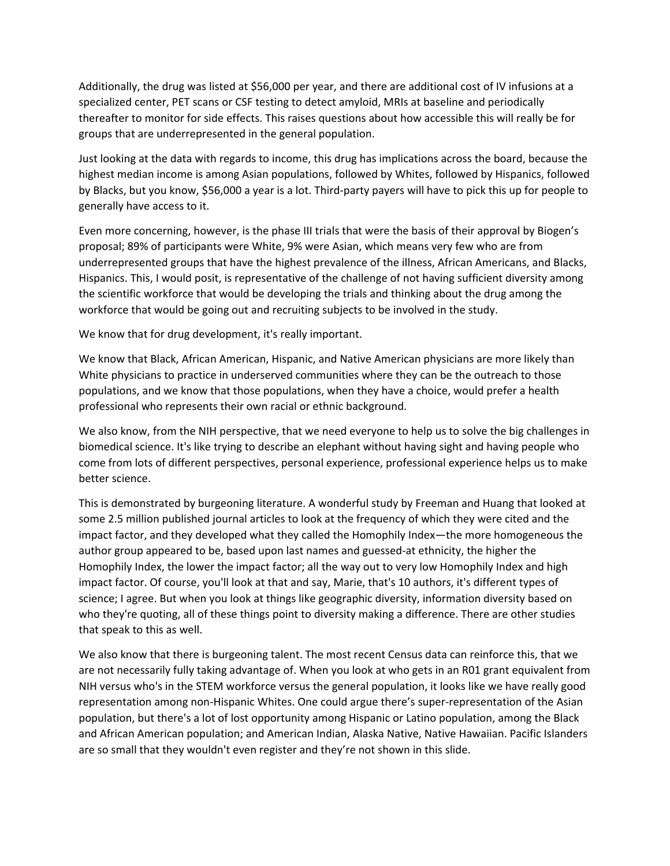Additionally, the drug was listed at \$56,000 per year, and there are additional cost of IV infusions at a specialized center, PET scans or CSF testing to detect amyloid, MRIs at baseline and periodically thereafter to monitor for side effects. This raises questions about how accessible this will really be for groups that are underrepresented in the general population.

Just looking at the data with regards to income, this drug has implications across the board, because the highest median income is among Asian populations, followed by Whites, followed by Hispanics, followed by Blacks, but you know, \$56,000 a year is a lot. Third‐party payers will have to pick this up for people to generally have access to it.

Even more concerning, however, is the phase III trials that were the basis of their approval by Biogen's proposal; 89% of participants were White, 9% were Asian, which means very few who are from underrepresented groups that have the highest prevalence of the illness, African Americans, and Blacks, Hispanics. This, I would posit, is representative of the challenge of not having sufficient diversity among the scientific workforce that would be developing the trials and thinking about the drug among the workforce that would be going out and recruiting subjects to be involved in the study.

We know that for drug development, it's really important.

We know that Black, African American, Hispanic, and Native American physicians are more likely than White physicians to practice in underserved communities where they can be the outreach to those populations, and we know that those populations, when they have a choice, would prefer a health professional who represents their own racial or ethnic background.

We also know, from the NIH perspective, that we need everyone to help us to solve the big challenges in biomedical science. It's like trying to describe an elephant without having sight and having people who come from lots of different perspectives, personal experience, professional experience helps us to make better science.

This is demonstrated by burgeoning literature. A wonderful study by Freeman and Huang that looked at some 2.5 million published journal articles to look at the frequency of which they were cited and the impact factor, and they developed what they called the Homophily Index—the more homogeneous the author group appeared to be, based upon last names and guessed‐at ethnicity, the higher the Homophily Index, the lower the impact factor; all the way out to very low Homophily Index and high impact factor. Of course, you'll look at that and say, Marie, that's 10 authors, it's different types of science; I agree. But when you look at things like geographic diversity, information diversity based on who they're quoting, all of these things point to diversity making a difference. There are other studies that speak to this as well.

We also know that there is burgeoning talent. The most recent Census data can reinforce this, that we are not necessarily fully taking advantage of. When you look at who gets in an R01 grant equivalent from NIH versus who's in the STEM workforce versus the general population, it looks like we have really good representation among non‐Hispanic Whites. One could argue there's super‐representation of the Asian population, but there's a lot of lost opportunity among Hispanic or Latino population, among the Black and African American population; and American Indian, Alaska Native, Native Hawaiian. Pacific Islanders are so small that they wouldn't even register and they're not shown in this slide.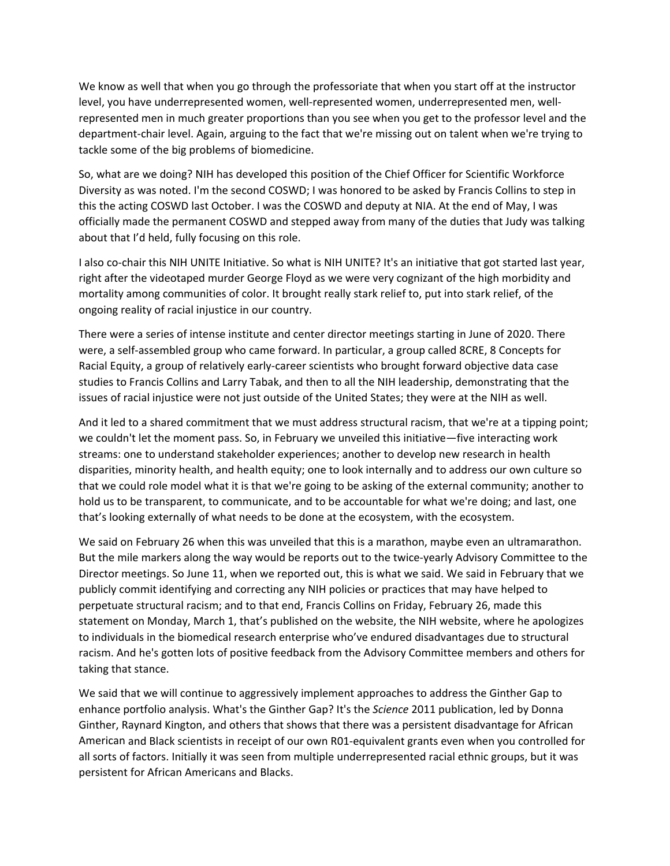We know as well that when you go through the professoriate that when you start off at the instructor level, you have underrepresented women, well-represented women, underrepresented men, wellrepresented men in much greater proportions than you see when you get to the professor level and the department‐chair level. Again, arguing to the fact that we're missing out on talent when we're trying to tackle some of the big problems of biomedicine.

So, what are we doing? NIH has developed this position of the Chief Officer for Scientific Workforce Diversity as was noted. I'm the second COSWD; I was honored to be asked by Francis Collins to step in this the acting COSWD last October. I was the COSWD and deputy at NIA. At the end of May, I was officially made the permanent COSWD and stepped away from many of the duties that Judy was talking about that I'd held, fully focusing on this role.

I also co‐chair this NIH UNITE Initiative. So what is NIH UNITE? It's an initiative that got started last year, right after the videotaped murder George Floyd as we were very cognizant of the high morbidity and mortality among communities of color. It brought really stark relief to, put into stark relief, of the ongoing reality of racial injustice in our country.

There were a series of intense institute and center director meetings starting in June of 2020. There were, a self‐assembled group who came forward. In particular, a group called 8CRE, 8 Concepts for Racial Equity, a group of relatively early‐career scientists who brought forward objective data case studies to Francis Collins and Larry Tabak, and then to all the NIH leadership, demonstrating that the issues of racial injustice were not just outside of the United States; they were at the NIH as well.

And it led to a shared commitment that we must address structural racism, that we're at a tipping point; we couldn't let the moment pass. So, in February we unveiled this initiative—five interacting work streams: one to understand stakeholder experiences; another to develop new research in health disparities, minority health, and health equity; one to look internally and to address our own culture so that we could role model what it is that we're going to be asking of the external community; another to hold us to be transparent, to communicate, and to be accountable for what we're doing; and last, one that's looking externally of what needs to be done at the ecosystem, with the ecosystem.

We said on February 26 when this was unveiled that this is a marathon, maybe even an ultramarathon. But the mile markers along the way would be reports out to the twice-yearly Advisory Committee to the Director meetings. So June 11, when we reported out, this is what we said. We said in February that we publicly commit identifying and correcting any NIH policies or practices that may have helped to perpetuate structural racism; and to that end, Francis Collins on Friday, February 26, made this statement on Monday, March 1, that's published on the website, the NIH website, where he apologizes to individuals in the biomedical research enterprise who've endured disadvantages due to structural racism. And he's gotten lots of positive feedback from the Advisory Committee members and others for taking that stance.

We said that we will continue to aggressively implement approaches to address the Ginther Gap to enhance portfolio analysis. What's the Ginther Gap? It's the *Science* 2011 publication, led by Donna Ginther, Raynard Kington, and others that shows that there was a persistent disadvantage for African American and Black scientists in receipt of our own R01‐equivalent grants even when you controlled for all sorts of factors. Initially it was seen from multiple underrepresented racial ethnic groups, but it was persistent for African Americans and Blacks.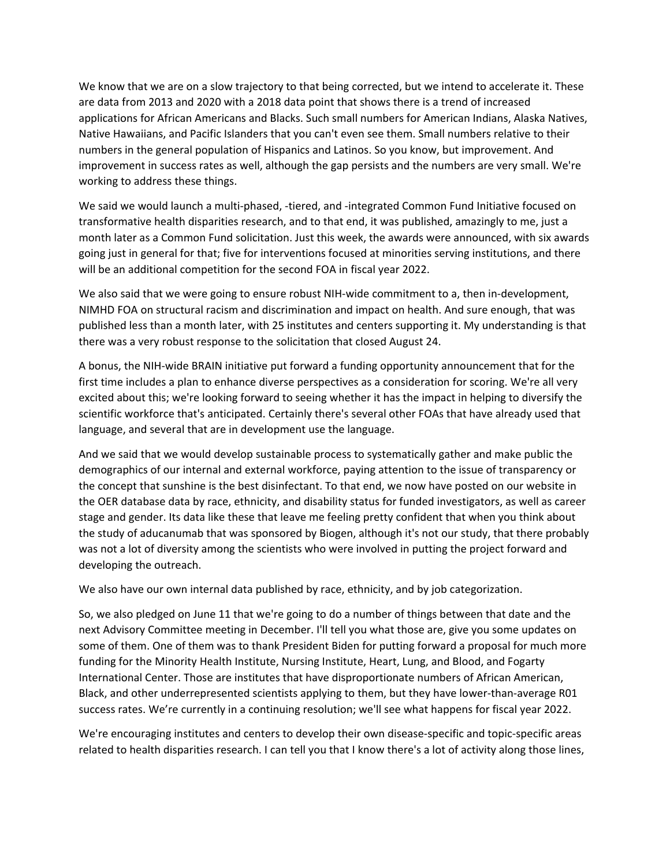We know that we are on a slow trajectory to that being corrected, but we intend to accelerate it. These are data from 2013 and 2020 with a 2018 data point that shows there is a trend of increased applications for African Americans and Blacks. Such small numbers for American Indians, Alaska Natives, Native Hawaiians, and Pacific Islanders that you can't even see them. Small numbers relative to their numbers in the general population of Hispanics and Latinos. So you know, but improvement. And improvement in success rates as well, although the gap persists and the numbers are very small. We're working to address these things.

We said we would launch a multi‐phased, ‐tiered, and ‐integrated Common Fund Initiative focused on transformative health disparities research, and to that end, it was published, amazingly to me, just a month later as a Common Fund solicitation. Just this week, the awards were announced, with six awards going just in general for that; five for interventions focused at minorities serving institutions, and there will be an additional competition for the second FOA in fiscal year 2022.

We also said that we were going to ensure robust NIH-wide commitment to a, then in-development, NIMHD FOA on structural racism and discrimination and impact on health. And sure enough, that was published less than a month later, with 25 institutes and centers supporting it. My understanding is that there was a very robust response to the solicitation that closed August 24.

A bonus, the NIH‐wide BRAIN initiative put forward a funding opportunity announcement that for the first time includes a plan to enhance diverse perspectives as a consideration for scoring. We're all very excited about this; we're looking forward to seeing whether it has the impact in helping to diversify the scientific workforce that's anticipated. Certainly there's several other FOAs that have already used that language, and several that are in development use the language.

And we said that we would develop sustainable process to systematically gather and make public the demographics of our internal and external workforce, paying attention to the issue of transparency or the concept that sunshine is the best disinfectant. To that end, we now have posted on our website in the OER database data by race, ethnicity, and disability status for funded investigators, as well as career stage and gender. Its data like these that leave me feeling pretty confident that when you think about the study of aducanumab that was sponsored by Biogen, although it's not our study, that there probably was not a lot of diversity among the scientists who were involved in putting the project forward and developing the outreach.

We also have our own internal data published by race, ethnicity, and by job categorization.

So, we also pledged on June 11 that we're going to do a number of things between that date and the next Advisory Committee meeting in December. I'll tell you what those are, give you some updates on some of them. One of them was to thank President Biden for putting forward a proposal for much more funding for the Minority Health Institute, Nursing Institute, Heart, Lung, and Blood, and Fogarty International Center. Those are institutes that have disproportionate numbers of African American, Black, and other underrepresented scientists applying to them, but they have lower‐than‐average R01 success rates. We're currently in a continuing resolution; we'll see what happens for fiscal year 2022.

We're encouraging institutes and centers to develop their own disease‐specific and topic‐specific areas related to health disparities research. I can tell you that I know there's a lot of activity along those lines,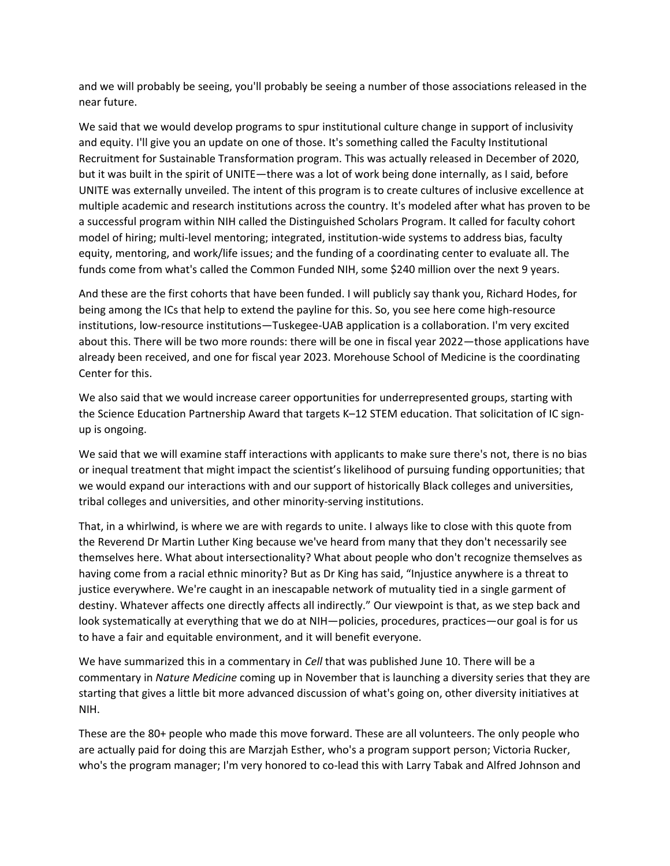and we will probably be seeing, you'll probably be seeing a number of those associations released in the near future.

We said that we would develop programs to spur institutional culture change in support of inclusivity and equity. I'll give you an update on one of those. It's something called the Faculty Institutional Recruitment for Sustainable Transformation program. This was actually released in December of 2020, but it was built in the spirit of UNITE—there was a lot of work being done internally, as I said, before UNITE was externally unveiled. The intent of this program is to create cultures of inclusive excellence at multiple academic and research institutions across the country. It's modeled after what has proven to be a successful program within NIH called the Distinguished Scholars Program. It called for faculty cohort model of hiring; multi-level mentoring; integrated, institution-wide systems to address bias, faculty equity, mentoring, and work/life issues; and the funding of a coordinating center to evaluate all. The funds come from what's called the Common Funded NIH, some \$240 million over the next 9 years.

And these are the first cohorts that have been funded. I will publicly say thank you, Richard Hodes, for being among the ICs that help to extend the payline for this. So, you see here come high‐resource institutions, low-resource institutions—Tuskegee-UAB application is a collaboration. I'm very excited about this. There will be two more rounds: there will be one in fiscal year 2022—those applications have already been received, and one for fiscal year 2023. Morehouse School of Medicine is the coordinating Center for this.

We also said that we would increase career opportunities for underrepresented groups, starting with the Science Education Partnership Award that targets K-12 STEM education. That solicitation of IC signup is ongoing.

We said that we will examine staff interactions with applicants to make sure there's not, there is no bias or inequal treatment that might impact the scientist's likelihood of pursuing funding opportunities; that we would expand our interactions with and our support of historically Black colleges and universities, tribal colleges and universities, and other minority‐serving institutions.

That, in a whirlwind, is where we are with regards to unite. I always like to close with this quote from the Reverend Dr Martin Luther King because we've heard from many that they don't necessarily see themselves here. What about intersectionality? What about people who don't recognize themselves as having come from a racial ethnic minority? But as Dr King has said, "Injustice anywhere is a threat to justice everywhere. We're caught in an inescapable network of mutuality tied in a single garment of destiny. Whatever affects one directly affects all indirectly." Our viewpoint is that, as we step back and look systematically at everything that we do at NIH—policies, procedures, practices—our goal is for us to have a fair and equitable environment, and it will benefit everyone.

We have summarized this in a commentary in *Cell* that was published June 10. There will be a commentary in *Nature Medicine* coming up in November that is launching a diversity series that they are starting that gives a little bit more advanced discussion of what's going on, other diversity initiatives at NIH.

These are the 80+ people who made this move forward. These are all volunteers. The only people who are actually paid for doing this are Marzjah Esther, who's a program support person; Victoria Rucker, who's the program manager; I'm very honored to co-lead this with Larry Tabak and Alfred Johnson and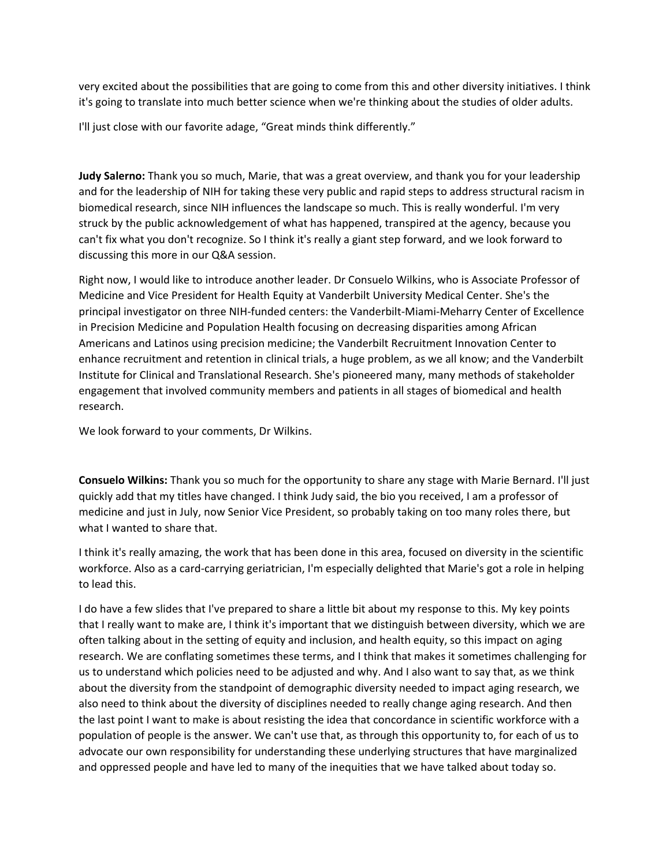very excited about the possibilities that are going to come from this and other diversity initiatives. I think it's going to translate into much better science when we're thinking about the studies of older adults.

I'll just close with our favorite adage, "Great minds think differently."

**Judy Salerno:** Thank you so much, Marie, that was a great overview, and thank you for your leadership and for the leadership of NIH for taking these very public and rapid steps to address structural racism in biomedical research, since NIH influences the landscape so much. This is really wonderful. I'm very struck by the public acknowledgement of what has happened, transpired at the agency, because you can't fix what you don't recognize. So I think it's really a giant step forward, and we look forward to discussing this more in our Q&A session.

Right now, I would like to introduce another leader. Dr Consuelo Wilkins, who is Associate Professor of Medicine and Vice President for Health Equity at Vanderbilt University Medical Center. She's the principal investigator on three NIH‐funded centers: the Vanderbilt‐Miami‐Meharry Center of Excellence in Precision Medicine and Population Health focusing on decreasing disparities among African Americans and Latinos using precision medicine; the Vanderbilt Recruitment Innovation Center to enhance recruitment and retention in clinical trials, a huge problem, as we all know; and the Vanderbilt Institute for Clinical and Translational Research. She's pioneered many, many methods of stakeholder engagement that involved community members and patients in all stages of biomedical and health research.

We look forward to your comments, Dr Wilkins.

**Consuelo Wilkins:** Thank you so much for the opportunity to share any stage with Marie Bernard. I'll just quickly add that my titles have changed. I think Judy said, the bio you received, I am a professor of medicine and just in July, now Senior Vice President, so probably taking on too many roles there, but what I wanted to share that.

I think it's really amazing, the work that has been done in this area, focused on diversity in the scientific workforce. Also as a card‐carrying geriatrician, I'm especially delighted that Marie's got a role in helping to lead this.

I do have a few slides that I've prepared to share a little bit about my response to this. My key points that I really want to make are, I think it's important that we distinguish between diversity, which we are often talking about in the setting of equity and inclusion, and health equity, so this impact on aging research. We are conflating sometimes these terms, and I think that makes it sometimes challenging for us to understand which policies need to be adjusted and why. And I also want to say that, as we think about the diversity from the standpoint of demographic diversity needed to impact aging research, we also need to think about the diversity of disciplines needed to really change aging research. And then the last point I want to make is about resisting the idea that concordance in scientific workforce with a population of people is the answer. We can't use that, as through this opportunity to, for each of us to advocate our own responsibility for understanding these underlying structures that have marginalized and oppressed people and have led to many of the inequities that we have talked about today so.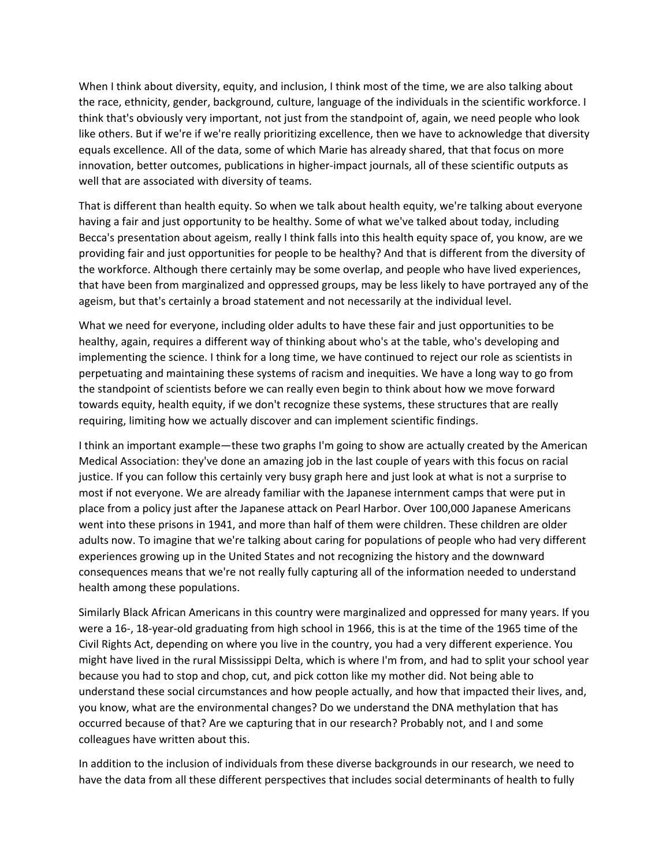When I think about diversity, equity, and inclusion, I think most of the time, we are also talking about the race, ethnicity, gender, background, culture, language of the individuals in the scientific workforce. I think that's obviously very important, not just from the standpoint of, again, we need people who look like others. But if we're if we're really prioritizing excellence, then we have to acknowledge that diversity equals excellence. All of the data, some of which Marie has already shared, that that focus on more innovation, better outcomes, publications in higher-impact journals, all of these scientific outputs as well that are associated with diversity of teams.

That is different than health equity. So when we talk about health equity, we're talking about everyone having a fair and just opportunity to be healthy. Some of what we've talked about today, including Becca's presentation about ageism, really I think falls into this health equity space of, you know, are we providing fair and just opportunities for people to be healthy? And that is different from the diversity of the workforce. Although there certainly may be some overlap, and people who have lived experiences, that have been from marginalized and oppressed groups, may be less likely to have portrayed any of the ageism, but that's certainly a broad statement and not necessarily at the individual level.

What we need for everyone, including older adults to have these fair and just opportunities to be healthy, again, requires a different way of thinking about who's at the table, who's developing and implementing the science. I think for a long time, we have continued to reject our role as scientists in perpetuating and maintaining these systems of racism and inequities. We have a long way to go from the standpoint of scientists before we can really even begin to think about how we move forward towards equity, health equity, if we don't recognize these systems, these structures that are really requiring, limiting how we actually discover and can implement scientific findings.

I think an important example—these two graphs I'm going to show are actually created by the American Medical Association: they've done an amazing job in the last couple of years with this focus on racial justice. If you can follow this certainly very busy graph here and just look at what is not a surprise to most if not everyone. We are already familiar with the Japanese internment camps that were put in place from a policy just after the Japanese attack on Pearl Harbor. Over 100,000 Japanese Americans went into these prisons in 1941, and more than half of them were children. These children are older adults now. To imagine that we're talking about caring for populations of people who had very different experiences growing up in the United States and not recognizing the history and the downward consequences means that we're not really fully capturing all of the information needed to understand health among these populations.

Similarly Black African Americans in this country were marginalized and oppressed for many years. If you were a 16‐, 18‐year‐old graduating from high school in 1966, this is at the time of the 1965 time of the Civil Rights Act, depending on where you live in the country, you had a very different experience. You might have lived in the rural Mississippi Delta, which is where I'm from, and had to split your school year because you had to stop and chop, cut, and pick cotton like my mother did. Not being able to understand these social circumstances and how people actually, and how that impacted their lives, and, you know, what are the environmental changes? Do we understand the DNA methylation that has occurred because of that? Are we capturing that in our research? Probably not, and I and some colleagues have written about this.

In addition to the inclusion of individuals from these diverse backgrounds in our research, we need to have the data from all these different perspectives that includes social determinants of health to fully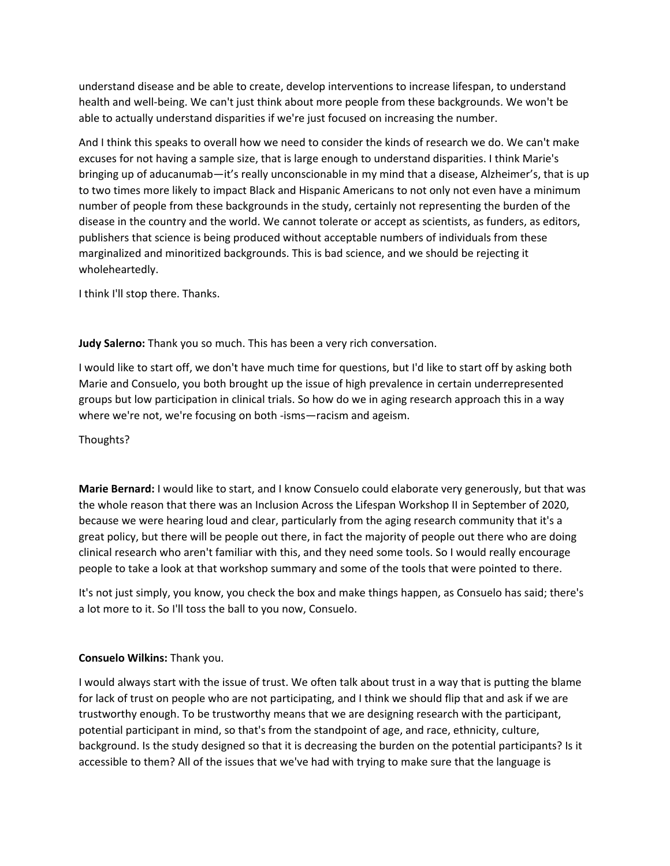understand disease and be able to create, develop interventions to increase lifespan, to understand health and well‐being. We can't just think about more people from these backgrounds. We won't be able to actually understand disparities if we're just focused on increasing the number.

And I think this speaks to overall how we need to consider the kinds of research we do. We can't make excuses for not having a sample size, that is large enough to understand disparities. I think Marie's bringing up of aducanumab—it's really unconscionable in my mind that a disease, Alzheimer's, that is up to two times more likely to impact Black and Hispanic Americans to not only not even have a minimum number of people from these backgrounds in the study, certainly not representing the burden of the disease in the country and the world. We cannot tolerate or accept as scientists, as funders, as editors, publishers that science is being produced without acceptable numbers of individuals from these marginalized and minoritized backgrounds. This is bad science, and we should be rejecting it wholeheartedly.

I think I'll stop there. Thanks.

**Judy Salerno:** Thank you so much. This has been a very rich conversation.

I would like to start off, we don't have much time for questions, but I'd like to start off by asking both Marie and Consuelo, you both brought up the issue of high prevalence in certain underrepresented groups but low participation in clinical trials. So how do we in aging research approach this in a way where we're not, we're focusing on both ‐isms—racism and ageism.

Thoughts?

**Marie Bernard:** I would like to start, and I know Consuelo could elaborate very generously, but that was the whole reason that there was an Inclusion Across the Lifespan Workshop II in September of 2020, because we were hearing loud and clear, particularly from the aging research community that it's a great policy, but there will be people out there, in fact the majority of people out there who are doing clinical research who aren't familiar with this, and they need some tools. So I would really encourage people to take a look at that workshop summary and some of the tools that were pointed to there.

It's not just simply, you know, you check the box and make things happen, as Consuelo has said; there's a lot more to it. So I'll toss the ball to you now, Consuelo.

## **Consuelo Wilkins:** Thank you.

I would always start with the issue of trust. We often talk about trust in a way that is putting the blame for lack of trust on people who are not participating, and I think we should flip that and ask if we are trustworthy enough. To be trustworthy means that we are designing research with the participant, potential participant in mind, so that's from the standpoint of age, and race, ethnicity, culture, background. Is the study designed so that it is decreasing the burden on the potential participants? Is it accessible to them? All of the issues that we've had with trying to make sure that the language is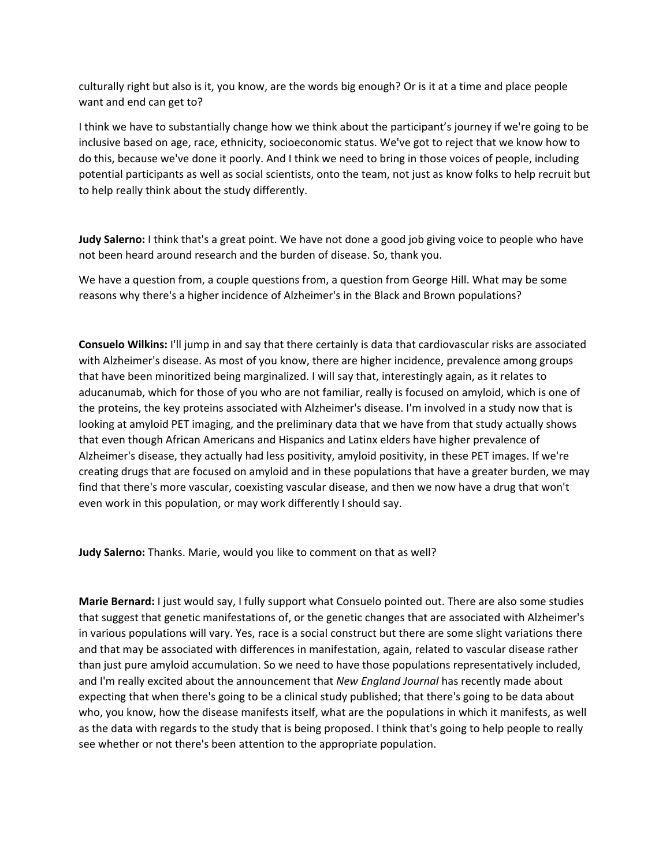culturally right but also is it, you know, are the words big enough? Or is it at a time and place people want and end can get to?

I think we have to substantially change how we think about the participant's journey if we're going to be inclusive based on age, race, ethnicity, socioeconomic status. We've got to reject that we know how to do this, because we've done it poorly. And I think we need to bring in those voices of people, including potential participants as well as social scientists, onto the team, not just as know folks to help recruit but to help really think about the study differently.

**Judy Salerno:** I think that's a great point. We have not done a good job giving voice to people who have not been heard around research and the burden of disease. So, thank you.

We have a question from, a couple questions from, a question from George Hill. What may be some reasons why there's a higher incidence of Alzheimer's in the Black and Brown populations?

**Consuelo Wilkins:** I'll jump in and say that there certainly is data that cardiovascular risks are associated with Alzheimer's disease. As most of you know, there are higher incidence, prevalence among groups that have been minoritized being marginalized. I will say that, interestingly again, as it relates to aducanumab, which for those of you who are not familiar, really is focused on amyloid, which is one of the proteins, the key proteins associated with Alzheimer's disease. I'm involved in a study now that is looking at amyloid PET imaging, and the preliminary data that we have from that study actually shows that even though African Americans and Hispanics and Latinx elders have higher prevalence of Alzheimer's disease, they actually had less positivity, amyloid positivity, in these PET images. If we're creating drugs that are focused on amyloid and in these populations that have a greater burden, we may find that there's more vascular, coexisting vascular disease, and then we now have a drug that won't even work in this population, or may work differently I should say.

**Judy Salerno:** Thanks. Marie, would you like to comment on that as well?

**Marie Bernard:** I just would say, I fully support what Consuelo pointed out. There are also some studies that suggest that genetic manifestations of, or the genetic changes that are associated with Alzheimer's in various populations will vary. Yes, race is a social construct but there are some slight variations there and that may be associated with differences in manifestation, again, related to vascular disease rather than just pure amyloid accumulation. So we need to have those populations representatively included, and I'm really excited about the announcement that *New England Journal* has recently made about expecting that when there's going to be a clinical study published; that there's going to be data about who, you know, how the disease manifests itself, what are the populations in which it manifests, as well as the data with regards to the study that is being proposed. I think that's going to help people to really see whether or not there's been attention to the appropriate population.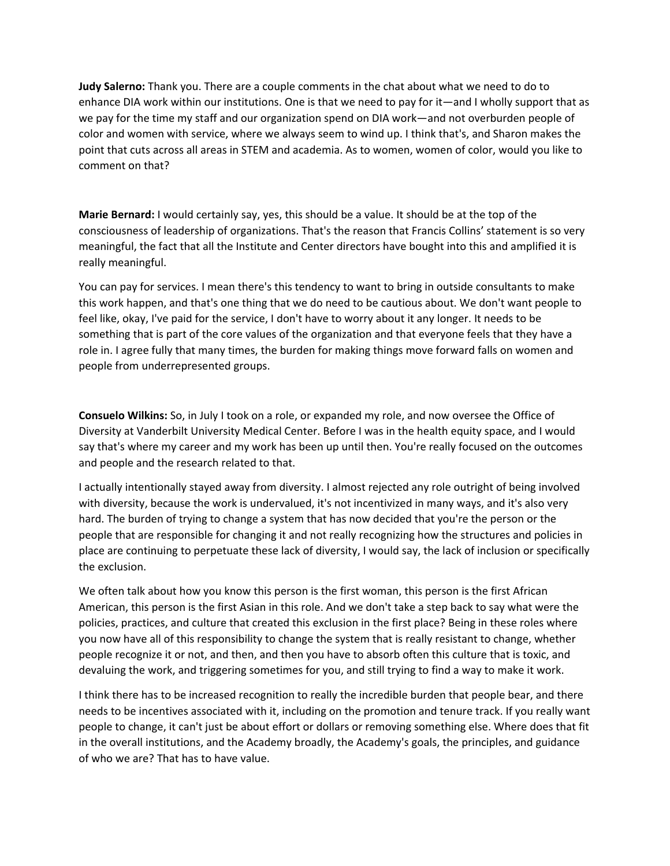**Judy Salerno:** Thank you. There are a couple comments in the chat about what we need to do to enhance DIA work within our institutions. One is that we need to pay for it—and I wholly support that as we pay for the time my staff and our organization spend on DIA work—and not overburden people of color and women with service, where we always seem to wind up. I think that's, and Sharon makes the point that cuts across all areas in STEM and academia. As to women, women of color, would you like to comment on that?

**Marie Bernard:** I would certainly say, yes, this should be a value. It should be at the top of the consciousness of leadership of organizations. That's the reason that Francis Collins' statement is so very meaningful, the fact that all the Institute and Center directors have bought into this and amplified it is really meaningful.

You can pay for services. I mean there's this tendency to want to bring in outside consultants to make this work happen, and that's one thing that we do need to be cautious about. We don't want people to feel like, okay, I've paid for the service, I don't have to worry about it any longer. It needs to be something that is part of the core values of the organization and that everyone feels that they have a role in. I agree fully that many times, the burden for making things move forward falls on women and people from underrepresented groups.

**Consuelo Wilkins:** So, in July I took on a role, or expanded my role, and now oversee the Office of Diversity at Vanderbilt University Medical Center. Before I was in the health equity space, and I would say that's where my career and my work has been up until then. You're really focused on the outcomes and people and the research related to that.

I actually intentionally stayed away from diversity. I almost rejected any role outright of being involved with diversity, because the work is undervalued, it's not incentivized in many ways, and it's also very hard. The burden of trying to change a system that has now decided that you're the person or the people that are responsible for changing it and not really recognizing how the structures and policies in place are continuing to perpetuate these lack of diversity, I would say, the lack of inclusion or specifically the exclusion.

We often talk about how you know this person is the first woman, this person is the first African American, this person is the first Asian in this role. And we don't take a step back to say what were the policies, practices, and culture that created this exclusion in the first place? Being in these roles where you now have all of this responsibility to change the system that is really resistant to change, whether people recognize it or not, and then, and then you have to absorb often this culture that is toxic, and devaluing the work, and triggering sometimes for you, and still trying to find a way to make it work.

I think there has to be increased recognition to really the incredible burden that people bear, and there needs to be incentives associated with it, including on the promotion and tenure track. If you really want people to change, it can't just be about effort or dollars or removing something else. Where does that fit in the overall institutions, and the Academy broadly, the Academy's goals, the principles, and guidance of who we are? That has to have value.